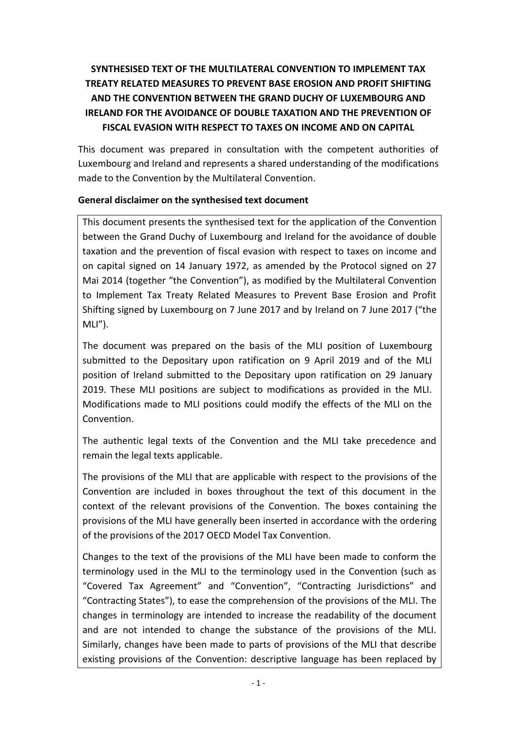# **SYNTHESISED TEXT OF THE MULTILATERAL CONVENTION TO IMPLEMENT TAX TREATY RELATED MEASURES TO PREVENT BASE EROSION AND PROFIT SHIFTING AND THE CONVENTION BETWEEN THE GRAND DUCHY OF LUXEMBOURG AND IRELAND FOR THE AVOIDANCE OF DOUBLE TAXATION AND THE PREVENTION OF FISCAL EVASION WITH RESPECT TO TAXES ON INCOME AND ON CAPITAL**

This document was prepared in consultation with the competent authorities of Luxembourg and Ireland and represents a shared understanding of the modifications made to the Convention by the Multilateral Convention.

## **General disclaimer on the synthesised text document**

This document presents the synthesised text for the application of the Convention between the Grand Duchy of Luxembourg and Ireland for the avoidance of double taxation and the prevention of fiscal evasion with respect to taxes on income and on capital signed on 14 January 1972, as amended by the Protocol signed on 27 Mai 2014 (together "the Convention"), as modified by the Multilateral Convention to Implement Tax Treaty Related Measures to Prevent Base Erosion and Profit Shifting signed by Luxembourg on 7 June 2017 and by Ireland on 7 June 2017 ("the  $MLI''$ ).

The document was prepared on the basis of the MLI position of Luxembourg submitted to the Depositary upon ratification on 9 April 2019 and of the MLI position of Ireland submitted to the Depositary upon ratification on 29 January 2019. These MLI positions are subject to modifications as provided in the MLI. Modifications made to MLI positions could modify the effects of the MLI on the Convention.

The authentic legal texts of the Convention and the MLI take precedence and remain the legal texts applicable.

The provisions of the MLI that are applicable with respect to the provisions of the Convention are included in boxes throughout the text of this document in the context of the relevant provisions of the Convention. The boxes containing the provisions of the MLI have generally been inserted in accordance with the ordering of the provisions of the 2017 OECD Model Tax Convention.

Changes to the text of the provisions of the MLI have been made to conform the terminology used in the MLI to the terminology used in the Convention (such as "Covered Tax Agreement" and "Convention", "Contracting Jurisdictions" and "Contracting States"), to ease the comprehension of the provisions of the MLI. The changes in terminology are intended to increase the readability of the document and are not intended to change the substance of the provisions of the MLI. Similarly, changes have been made to parts of provisions of the MLI that describe existing provisions of the Convention: descriptive language has been replaced by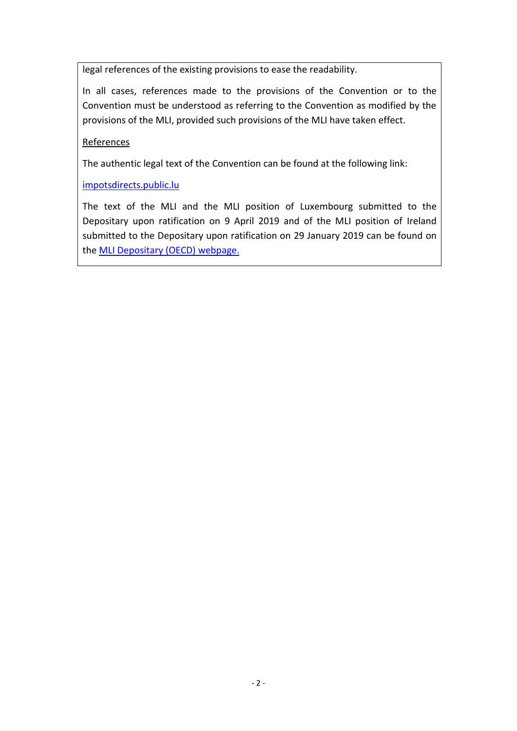legal references of the existing provisions to ease the readability.

In all cases, references made to the provisions of the Convention or to the Convention must be understood as referring to the Convention as modified by the provisions of the MLI, provided such provisions of the MLI have taken effect.

## References

The authentic legal text of the Convention can be found at the following link:

[impotsdirects.public.lu](https://impotsdirects.public.lu/fr.html)

The text of the MLI and the MLI position of Luxembourg submitted to the Depositary upon ratification on 9 April 2019 and of the MLI position of Ireland submitted to the Depositary upon ratification on 29 January 2019 can be found on the [MLI Depositary \(OECD\) webpage.](https://www.oecd.org/tax/treaties/multilateral-convention-to-implement-tax-treaty-related-measures-to-prevent-beps.htm)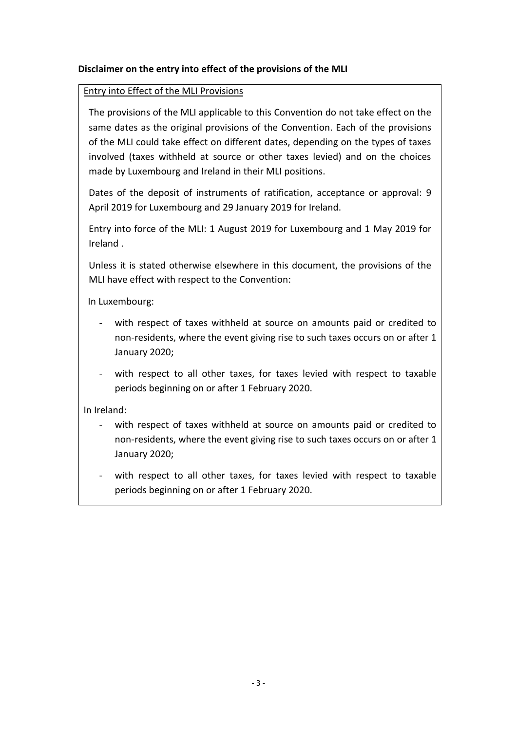## **Disclaimer on the entry into effect of the provisions of the MLI**

#### Entry into Effect of the MLI Provisions

The provisions of the MLI applicable to this Convention do not take effect on the same dates as the original provisions of the Convention. Each of the provisions of the MLI could take effect on different dates, depending on the types of taxes involved (taxes withheld at source or other taxes levied) and on the choices made by Luxembourg and Ireland in their MLI positions.

Dates of the deposit of instruments of ratification, acceptance or approval: 9 April 2019 for Luxembourg and 29 January 2019 for Ireland.

Entry into force of the MLI: 1 August 2019 for Luxembourg and 1 May 2019 for Ireland .

Unless it is stated otherwise elsewhere in this document, the provisions of the MLI have effect with respect to the Convention:

In Luxembourg:

- with respect of taxes withheld at source on amounts paid or credited to non-residents, where the event giving rise to such taxes occurs on or after 1 January 2020;
- with respect to all other taxes, for taxes levied with respect to taxable periods beginning on or after 1 February 2020.

In Ireland:

- with respect of taxes withheld at source on amounts paid or credited to non-residents, where the event giving rise to such taxes occurs on or after 1 January 2020;
- with respect to all other taxes, for taxes levied with respect to taxable periods beginning on or after 1 February 2020.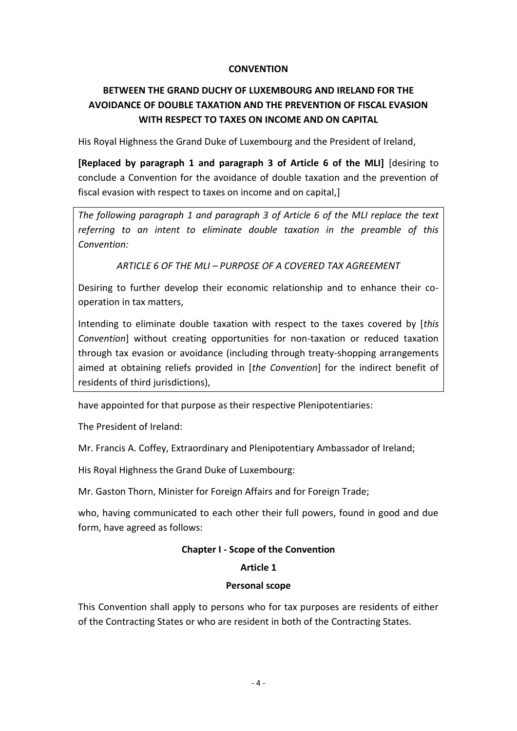#### **CONVENTION**

# **BETWEEN THE GRAND DUCHY OF LUXEMBOURG AND IRELAND FOR THE AVOIDANCE OF DOUBLE TAXATION AND THE PREVENTION OF FISCAL EVASION WITH RESPECT TO TAXES ON INCOME AND ON CAPITAL**

His Royal Highness the Grand Duke of Luxembourg and the President of Ireland,

**[Replaced by paragraph 1 and paragraph 3 of Article 6 of the MLI]** [desiring to conclude a Convention for the avoidance of double taxation and the prevention of fiscal evasion with respect to taxes on income and on capital,]

*The following paragraph 1 and paragraph 3 of Article 6 of the MLI replace the text referring to an intent to eliminate double taxation in the preamble of this Convention:*

*ARTICLE 6 OF THE MLI – PURPOSE OF A COVERED TAX AGREEMENT*

Desiring to further develop their economic relationship and to enhance their cooperation in tax matters,

Intending to eliminate double taxation with respect to the taxes covered by [*this Convention*] without creating opportunities for non-taxation or reduced taxation through tax evasion or avoidance (including through treaty-shopping arrangements aimed at obtaining reliefs provided in [*the Convention*] for the indirect benefit of residents of third jurisdictions),

have appointed for that purpose as their respective Plenipotentiaries:

The President of Ireland:

Mr. Francis A. Coffey, Extraordinary and Plenipotentiary Ambassador of Ireland;

His Royal Highness the Grand Duke of Luxembourg:

Mr. Gaston Thorn, Minister for Foreign Affairs and for Foreign Trade;

who, having communicated to each other their full powers, found in good and due form, have agreed as follows:

#### **Chapter I - Scope of the Convention**

## **Article 1**

#### **Personal scope**

This Convention shall apply to persons who for tax purposes are residents of either of the Contracting States or who are resident in both of the Contracting States.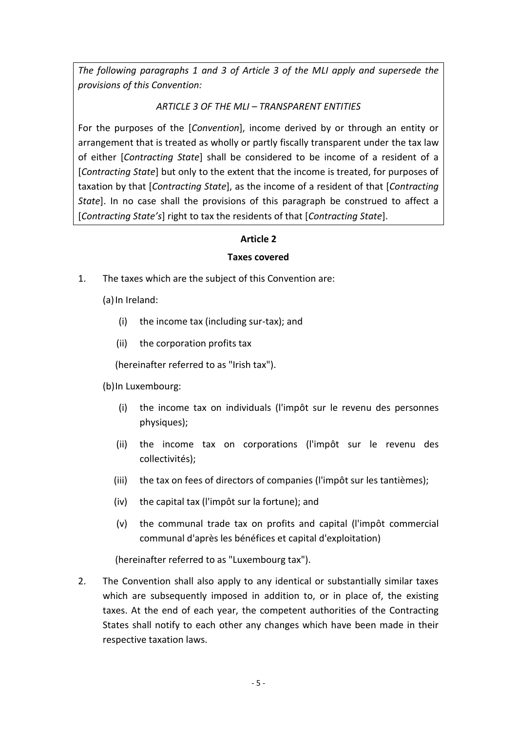*The following paragraphs 1 and 3 of Article 3 of the MLI apply and supersede the provisions of this Convention:*

## *ARTICLE 3 OF THE MLI – TRANSPARENT ENTITIES*

For the purposes of the [*Convention*], income derived by or through an entity or arrangement that is treated as wholly or partly fiscally transparent under the tax law of either [*Contracting State*] shall be considered to be income of a resident of a [*Contracting State*] but only to the extent that the income is treated, for purposes of taxation by that [*Contracting State*], as the income of a resident of that [*Contracting State*]. In no case shall the provisions of this paragraph be construed to affect a [*Contracting State's*] right to tax the residents of that [*Contracting State*].

# **Article 2**

## **Taxes covered**

1. The taxes which are the subject of this Convention are:

(a) In Ireland:

- (i) the income tax (including sur-tax); and
- (ii) the corporation profits tax

(hereinafter referred to as "Irish tax").

- (b)In Luxembourg:
	- (i) the income tax on individuals (l'impôt sur le revenu des personnes physiques);
	- (ii) the income tax on corporations (l'impôt sur le revenu des collectivités);
	- (iii) the tax on fees of directors of companies (l'impôt sur les tantièmes);
	- (iv) the capital tax (l'impôt sur la fortune); and
	- (v) the communal trade tax on profits and capital (l'impôt commercial communal d'après les bénéfices et capital d'exploitation)

(hereinafter referred to as "Luxembourg tax").

2. The Convention shall also apply to any identical or substantially similar taxes which are subsequently imposed in addition to, or in place of, the existing taxes. At the end of each year, the competent authorities of the Contracting States shall notify to each other any changes which have been made in their respective taxation laws.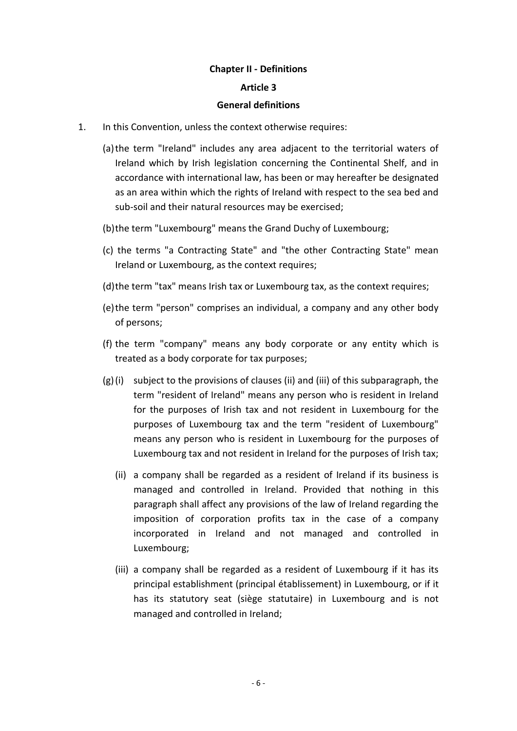#### **Chapter II - Definitions**

#### **Article 3**

#### **General definitions**

- 1. In this Convention, unless the context otherwise requires:
	- (a)the term "Ireland" includes any area adjacent to the territorial waters of Ireland which by Irish legislation concerning the Continental Shelf, and in accordance with international law, has been or may hereafter be designated as an area within which the rights of Ireland with respect to the sea bed and sub-soil and their natural resources may be exercised;
	- (b)the term "Luxembourg" means the Grand Duchy of Luxembourg;
	- (c) the terms "a Contracting State" and "the other Contracting State" mean Ireland or Luxembourg, as the context requires;
	- (d)the term "tax" means Irish tax or Luxembourg tax, as the context requires;
	- (e)the term "person" comprises an individual, a company and any other body of persons;
	- (f) the term "company" means any body corporate or any entity which is treated as a body corporate for tax purposes;
	- (g)(i) subject to the provisions of clauses (ii) and (iii) of this subparagraph, the term "resident of Ireland" means any person who is resident in Ireland for the purposes of Irish tax and not resident in Luxembourg for the purposes of Luxembourg tax and the term "resident of Luxembourg" means any person who is resident in Luxembourg for the purposes of Luxembourg tax and not resident in Ireland for the purposes of Irish tax;
		- (ii) a company shall be regarded as a resident of Ireland if its business is managed and controlled in Ireland. Provided that nothing in this paragraph shall affect any provisions of the law of Ireland regarding the imposition of corporation profits tax in the case of a company incorporated in Ireland and not managed and controlled in Luxembourg;
		- (iii) a company shall be regarded as a resident of Luxembourg if it has its principal establishment (principal établissement) in Luxembourg, or if it has its statutory seat (siège statutaire) in Luxembourg and is not managed and controlled in Ireland;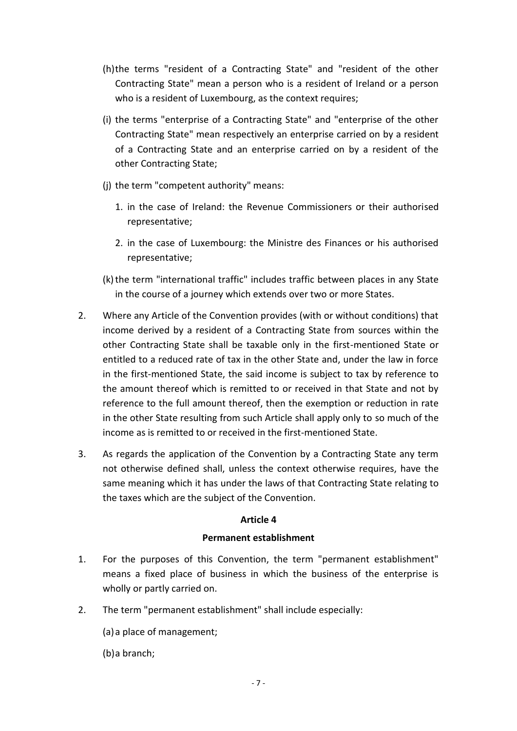- (h)the terms "resident of a Contracting State" and "resident of the other Contracting State" mean a person who is a resident of Ireland or a person who is a resident of Luxembourg, as the context requires;
- (i) the terms "enterprise of a Contracting State" and "enterprise of the other Contracting State" mean respectively an enterprise carried on by a resident of a Contracting State and an enterprise carried on by a resident of the other Contracting State;
- (j) the term "competent authority" means:
	- 1. in the case of Ireland: the Revenue Commissioners or their authorised representative;
	- 2. in the case of Luxembourg: the Ministre des Finances or his authorised representative;
- (k) the term "international traffic" includes traffic between places in any State in the course of a journey which extends over two or more States.
- 2. Where any Article of the Convention provides (with or without conditions) that income derived by a resident of a Contracting State from sources within the other Contracting State shall be taxable only in the first-mentioned State or entitled to a reduced rate of tax in the other State and, under the law in force in the first-mentioned State, the said income is subject to tax by reference to the amount thereof which is remitted to or received in that State and not by reference to the full amount thereof, then the exemption or reduction in rate in the other State resulting from such Article shall apply only to so much of the income as is remitted to or received in the first-mentioned State.
- 3. As regards the application of the Convention by a Contracting State any term not otherwise defined shall, unless the context otherwise requires, have the same meaning which it has under the laws of that Contracting State relating to the taxes which are the subject of the Convention.

#### **Article 4**

#### **Permanent establishment**

- 1. For the purposes of this Convention, the term "permanent establishment" means a fixed place of business in which the business of the enterprise is wholly or partly carried on.
- 2. The term "permanent establishment" shall include especially:
	- (a)a place of management;
	- (b)a branch;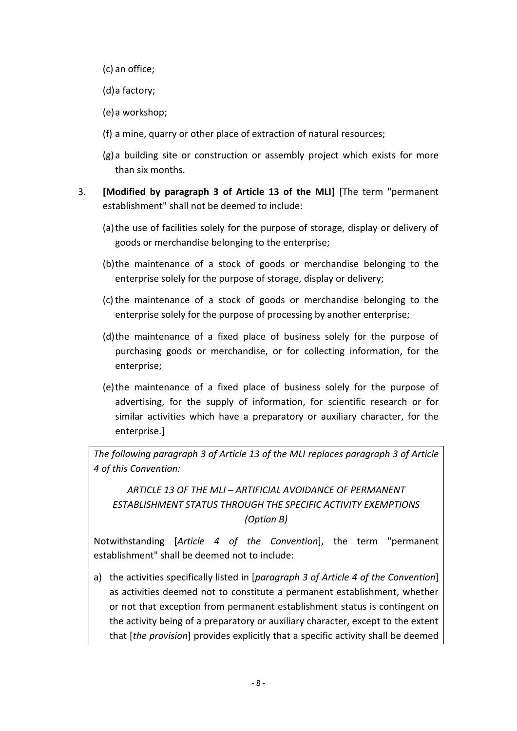- (c) an office;
- (d)a factory;
- (e)a workshop;
- (f) a mine, quarry or other place of extraction of natural resources;
- (g)a building site or construction or assembly project which exists for more than six months.
- 3. **[Modified by paragraph 3 of Article 13 of the MLI]** [The term "permanent establishment" shall not be deemed to include:
	- (a)the use of facilities solely for the purpose of storage, display or delivery of goods or merchandise belonging to the enterprise;
	- (b)the maintenance of a stock of goods or merchandise belonging to the enterprise solely for the purpose of storage, display or delivery;
	- (c)the maintenance of a stock of goods or merchandise belonging to the enterprise solely for the purpose of processing by another enterprise;
	- (d)the maintenance of a fixed place of business solely for the purpose of purchasing goods or merchandise, or for collecting information, for the enterprise;
	- (e)the maintenance of a fixed place of business solely for the purpose of advertising, for the supply of information, for scientific research or for similar activities which have a preparatory or auxiliary character, for the enterprise.]

*The following paragraph 3 of Article 13 of the MLI replaces paragraph 3 of Article 4 of this Convention:*

*ARTICLE 13 OF THE MLI – ARTIFICIAL AVOIDANCE OF PERMANENT ESTABLISHMENT STATUS THROUGH THE SPECIFIC ACTIVITY EXEMPTIONS (Option B)*

Notwithstanding [*Article 4 of the Convention*], the term "permanent establishment" shall be deemed not to include:

a) the activities specifically listed in [*paragraph 3 of Article 4 of the Convention*] as activities deemed not to constitute a permanent establishment, whether or not that exception from permanent establishment status is contingent on the activity being of a preparatory or auxiliary character, except to the extent that [*the provision*] provides explicitly that a specific activity shall be deemed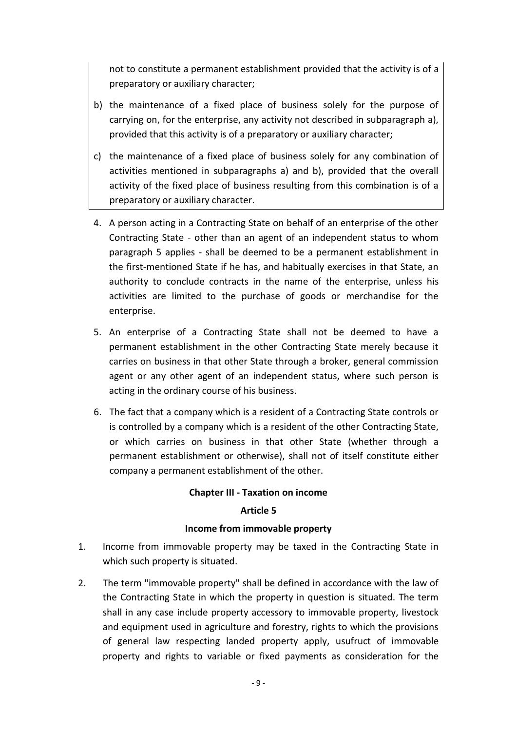not to constitute a permanent establishment provided that the activity is of a preparatory or auxiliary character;

- b) the maintenance of a fixed place of business solely for the purpose of carrying on, for the enterprise, any activity not described in subparagraph a), provided that this activity is of a preparatory or auxiliary character;
- c) the maintenance of a fixed place of business solely for any combination of activities mentioned in subparagraphs a) and b), provided that the overall activity of the fixed place of business resulting from this combination is of a preparatory or auxiliary character.
- 4. A person acting in a Contracting State on behalf of an enterprise of the other Contracting State - other than an agent of an independent status to whom paragraph 5 applies - shall be deemed to be a permanent establishment in the first-mentioned State if he has, and habitually exercises in that State, an authority to conclude contracts in the name of the enterprise, unless his activities are limited to the purchase of goods or merchandise for the enterprise.
- 5. An enterprise of a Contracting State shall not be deemed to have a permanent establishment in the other Contracting State merely because it carries on business in that other State through a broker, general commission agent or any other agent of an independent status, where such person is acting in the ordinary course of his business.
- 6. The fact that a company which is a resident of a Contracting State controls or is controlled by a company which is a resident of the other Contracting State, or which carries on business in that other State (whether through a permanent establishment or otherwise), shall not of itself constitute either company a permanent establishment of the other.

## **Chapter III - Taxation on income**

## **Article 5**

## **Income from immovable property**

- 1. Income from immovable property may be taxed in the Contracting State in which such property is situated.
- 2. The term "immovable property" shall be defined in accordance with the law of the Contracting State in which the property in question is situated. The term shall in any case include property accessory to immovable property, livestock and equipment used in agriculture and forestry, rights to which the provisions of general law respecting landed property apply, usufruct of immovable property and rights to variable or fixed payments as consideration for the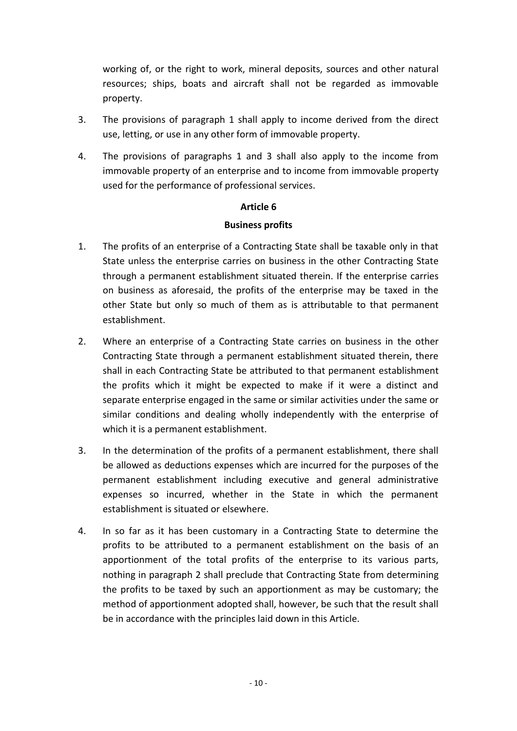working of, or the right to work, mineral deposits, sources and other natural resources; ships, boats and aircraft shall not be regarded as immovable property.

- 3. The provisions of paragraph 1 shall apply to income derived from the direct use, letting, or use in any other form of immovable property.
- 4. The provisions of paragraphs 1 and 3 shall also apply to the income from immovable property of an enterprise and to income from immovable property used for the performance of professional services.

## **Article 6**

#### **Business profits**

- 1. The profits of an enterprise of a Contracting State shall be taxable only in that State unless the enterprise carries on business in the other Contracting State through a permanent establishment situated therein. If the enterprise carries on business as aforesaid, the profits of the enterprise may be taxed in the other State but only so much of them as is attributable to that permanent establishment.
- 2. Where an enterprise of a Contracting State carries on business in the other Contracting State through a permanent establishment situated therein, there shall in each Contracting State be attributed to that permanent establishment the profits which it might be expected to make if it were a distinct and separate enterprise engaged in the same or similar activities under the same or similar conditions and dealing wholly independently with the enterprise of which it is a permanent establishment.
- 3. In the determination of the profits of a permanent establishment, there shall be allowed as deductions expenses which are incurred for the purposes of the permanent establishment including executive and general administrative expenses so incurred, whether in the State in which the permanent establishment is situated or elsewhere.
- 4. In so far as it has been customary in a Contracting State to determine the profits to be attributed to a permanent establishment on the basis of an apportionment of the total profits of the enterprise to its various parts, nothing in paragraph 2 shall preclude that Contracting State from determining the profits to be taxed by such an apportionment as may be customary; the method of apportionment adopted shall, however, be such that the result shall be in accordance with the principles laid down in this Article.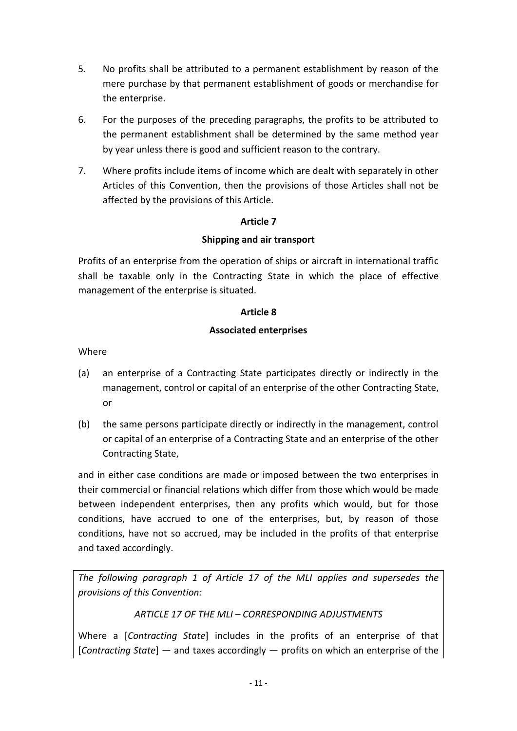- 5. No profits shall be attributed to a permanent establishment by reason of the mere purchase by that permanent establishment of goods or merchandise for the enterprise.
- 6. For the purposes of the preceding paragraphs, the profits to be attributed to the permanent establishment shall be determined by the same method year by year unless there is good and sufficient reason to the contrary.
- 7. Where profits include items of income which are dealt with separately in other Articles of this Convention, then the provisions of those Articles shall not be affected by the provisions of this Article.

## **Article 7**

## **Shipping and air transport**

Profits of an enterprise from the operation of ships or aircraft in international traffic shall be taxable only in the Contracting State in which the place of effective management of the enterprise is situated.

#### **Article 8**

## **Associated enterprises**

Where

- (a) an enterprise of a Contracting State participates directly or indirectly in the management, control or capital of an enterprise of the other Contracting State, or
- (b) the same persons participate directly or indirectly in the management, control or capital of an enterprise of a Contracting State and an enterprise of the other Contracting State,

and in either case conditions are made or imposed between the two enterprises in their commercial or financial relations which differ from those which would be made between independent enterprises, then any profits which would, but for those conditions, have accrued to one of the enterprises, but, by reason of those conditions, have not so accrued, may be included in the profits of that enterprise and taxed accordingly.

*The following paragraph 1 of Article 17 of the MLI applies and supersedes the provisions of this Convention:*

## *ARTICLE 17 OF THE MLI – CORRESPONDING ADJUSTMENTS*

Where a [*Contracting State*] includes in the profits of an enterprise of that [*Contracting State*] — and taxes accordingly — profits on which an enterprise of the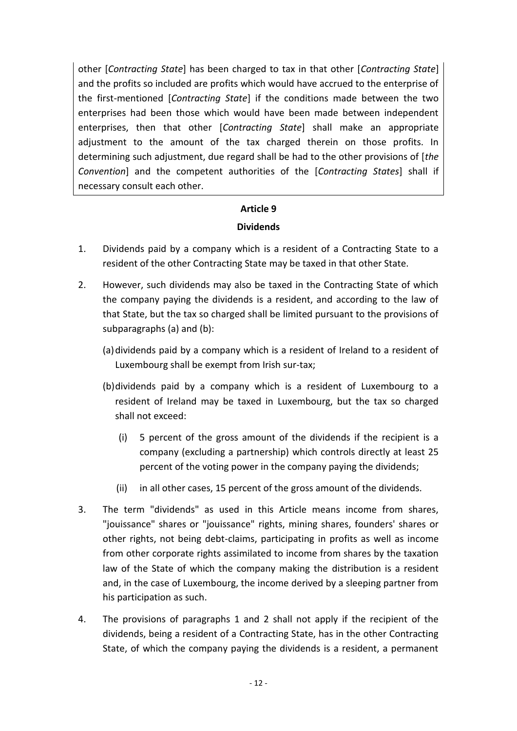other [*Contracting State*] has been charged to tax in that other [*Contracting State*] and the profits so included are profits which would have accrued to the enterprise of the first-mentioned [*Contracting State*] if the conditions made between the two enterprises had been those which would have been made between independent enterprises, then that other [*Contracting State*] shall make an appropriate adjustment to the amount of the tax charged therein on those profits. In determining such adjustment, due regard shall be had to the other provisions of [*the Convention*] and the competent authorities of the [*Contracting States*] shall if necessary consult each other.

## **Article 9**

## **Dividends**

- 1. Dividends paid by a company which is a resident of a Contracting State to a resident of the other Contracting State may be taxed in that other State.
- 2. However, such dividends may also be taxed in the Contracting State of which the company paying the dividends is a resident, and according to the law of that State, but the tax so charged shall be limited pursuant to the provisions of subparagraphs (a) and (b):
	- (a)dividends paid by a company which is a resident of Ireland to a resident of Luxembourg shall be exempt from Irish sur-tax;
	- (b)dividends paid by a company which is a resident of Luxembourg to a resident of Ireland may be taxed in Luxembourg, but the tax so charged shall not exceed:
		- (i) 5 percent of the gross amount of the dividends if the recipient is a company (excluding a partnership) which controls directly at least 25 percent of the voting power in the company paying the dividends;
		- (ii) in all other cases, 15 percent of the gross amount of the dividends.
- 3. The term "dividends" as used in this Article means income from shares, "jouissance" shares or "jouissance" rights, mining shares, founders' shares or other rights, not being debt-claims, participating in profits as well as income from other corporate rights assimilated to income from shares by the taxation law of the State of which the company making the distribution is a resident and, in the case of Luxembourg, the income derived by a sleeping partner from his participation as such.
- 4. The provisions of paragraphs 1 and 2 shall not apply if the recipient of the dividends, being a resident of a Contracting State, has in the other Contracting State, of which the company paying the dividends is a resident, a permanent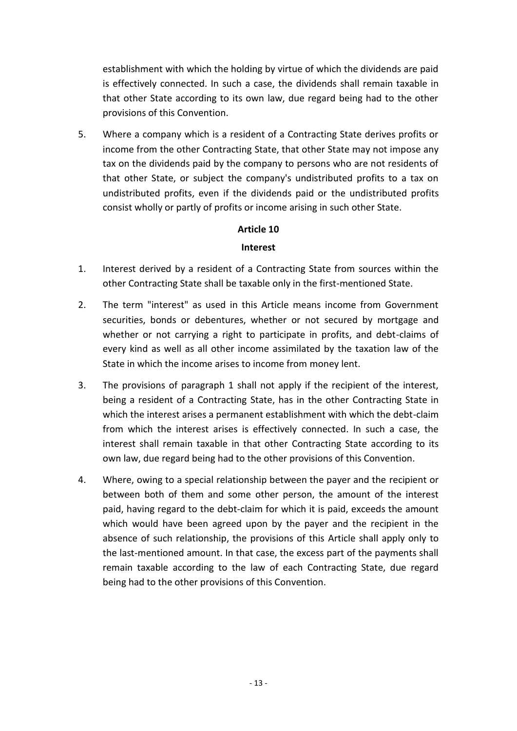establishment with which the holding by virtue of which the dividends are paid is effectively connected. In such a case, the dividends shall remain taxable in that other State according to its own law, due regard being had to the other provisions of this Convention.

5. Where a company which is a resident of a Contracting State derives profits or income from the other Contracting State, that other State may not impose any tax on the dividends paid by the company to persons who are not residents of that other State, or subject the company's undistributed profits to a tax on undistributed profits, even if the dividends paid or the undistributed profits consist wholly or partly of profits or income arising in such other State.

## **Article 10**

#### **Interest**

- 1. Interest derived by a resident of a Contracting State from sources within the other Contracting State shall be taxable only in the first-mentioned State.
- 2. The term "interest" as used in this Article means income from Government securities, bonds or debentures, whether or not secured by mortgage and whether or not carrying a right to participate in profits, and debt-claims of every kind as well as all other income assimilated by the taxation law of the State in which the income arises to income from money lent.
- 3. The provisions of paragraph 1 shall not apply if the recipient of the interest, being a resident of a Contracting State, has in the other Contracting State in which the interest arises a permanent establishment with which the debt-claim from which the interest arises is effectively connected. In such a case, the interest shall remain taxable in that other Contracting State according to its own law, due regard being had to the other provisions of this Convention.
- 4. Where, owing to a special relationship between the payer and the recipient or between both of them and some other person, the amount of the interest paid, having regard to the debt-claim for which it is paid, exceeds the amount which would have been agreed upon by the payer and the recipient in the absence of such relationship, the provisions of this Article shall apply only to the last-mentioned amount. In that case, the excess part of the payments shall remain taxable according to the law of each Contracting State, due regard being had to the other provisions of this Convention.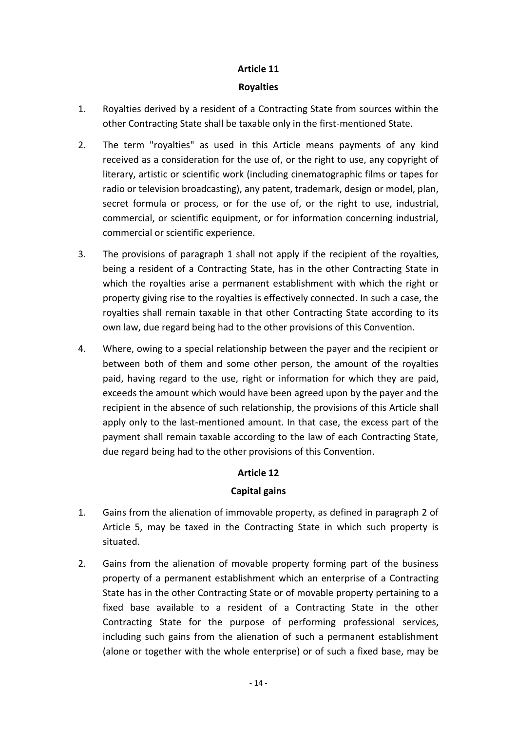## **Article 11**

#### **Royalties**

- 1. Royalties derived by a resident of a Contracting State from sources within the other Contracting State shall be taxable only in the first-mentioned State.
- 2. The term "royalties" as used in this Article means payments of any kind received as a consideration for the use of, or the right to use, any copyright of literary, artistic or scientific work (including cinematographic films or tapes for radio or television broadcasting), any patent, trademark, design or model, plan, secret formula or process, or for the use of, or the right to use, industrial, commercial, or scientific equipment, or for information concerning industrial, commercial or scientific experience.
- 3. The provisions of paragraph 1 shall not apply if the recipient of the royalties, being a resident of a Contracting State, has in the other Contracting State in which the royalties arise a permanent establishment with which the right or property giving rise to the royalties is effectively connected. In such a case, the royalties shall remain taxable in that other Contracting State according to its own law, due regard being had to the other provisions of this Convention.
- 4. Where, owing to a special relationship between the payer and the recipient or between both of them and some other person, the amount of the royalties paid, having regard to the use, right or information for which they are paid, exceeds the amount which would have been agreed upon by the payer and the recipient in the absence of such relationship, the provisions of this Article shall apply only to the last-mentioned amount. In that case, the excess part of the payment shall remain taxable according to the law of each Contracting State, due regard being had to the other provisions of this Convention.

# **Article 12**

# **Capital gains**

- 1. Gains from the alienation of immovable property, as defined in paragraph 2 of Article 5, may be taxed in the Contracting State in which such property is situated.
- 2. Gains from the alienation of movable property forming part of the business property of a permanent establishment which an enterprise of a Contracting State has in the other Contracting State or of movable property pertaining to a fixed base available to a resident of a Contracting State in the other Contracting State for the purpose of performing professional services, including such gains from the alienation of such a permanent establishment (alone or together with the whole enterprise) or of such a fixed base, may be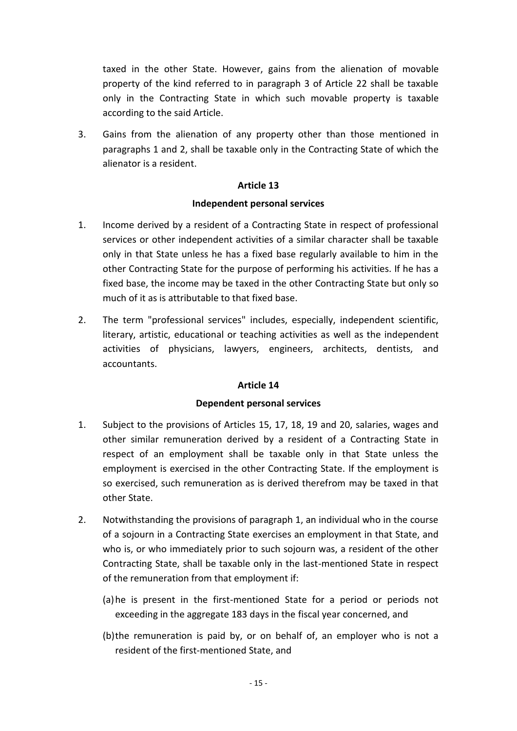taxed in the other State. However, gains from the alienation of movable property of the kind referred to in paragraph 3 of Article 22 shall be taxable only in the Contracting State in which such movable property is taxable according to the said Article.

3. Gains from the alienation of any property other than those mentioned in paragraphs 1 and 2, shall be taxable only in the Contracting State of which the alienator is a resident.

## **Article 13**

#### **Independent personal services**

- 1. Income derived by a resident of a Contracting State in respect of professional services or other independent activities of a similar character shall be taxable only in that State unless he has a fixed base regularly available to him in the other Contracting State for the purpose of performing his activities. If he has a fixed base, the income may be taxed in the other Contracting State but only so much of it as is attributable to that fixed base.
- 2. The term "professional services" includes, especially, independent scientific, literary, artistic, educational or teaching activities as well as the independent activities of physicians, lawyers, engineers, architects, dentists, and accountants.

## **Article 14**

## **Dependent personal services**

- 1. Subject to the provisions of Articles 15, 17, 18, 19 and 20, salaries, wages and other similar remuneration derived by a resident of a Contracting State in respect of an employment shall be taxable only in that State unless the employment is exercised in the other Contracting State. If the employment is so exercised, such remuneration as is derived therefrom may be taxed in that other State.
- 2. Notwithstanding the provisions of paragraph 1, an individual who in the course of a sojourn in a Contracting State exercises an employment in that State, and who is, or who immediately prior to such sojourn was, a resident of the other Contracting State, shall be taxable only in the last-mentioned State in respect of the remuneration from that employment if:
	- (a)he is present in the first-mentioned State for a period or periods not exceeding in the aggregate 183 days in the fiscal year concerned, and
	- (b)the remuneration is paid by, or on behalf of, an employer who is not a resident of the first-mentioned State, and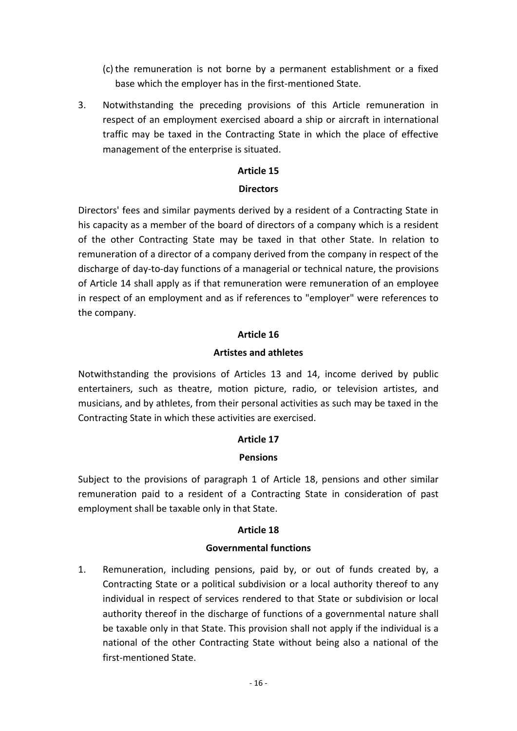- $(c)$  the remuneration is not borne by a permanent establishment or a fixed base which the employer has in the first-mentioned State.
- 3. Notwithstanding the preceding provisions of this Article remuneration in respect of an employment exercised aboard a ship or aircraft in international traffic may be taxed in the Contracting State in which the place of effective management of the enterprise is situated.

#### **Article 15**

#### **Directors**

Directors' fees and similar payments derived by a resident of a Contracting State in his capacity as a member of the board of directors of a company which is a resident of the other Contracting State may be taxed in that other State. In relation to remuneration of a director of a company derived from the company in respect of the discharge of day-to-day functions of a managerial or technical nature, the provisions of Article 14 shall apply as if that remuneration were remuneration of an employee in respect of an employment and as if references to "employer" were references to the company.

#### **Article 16**

## **Artistes and athletes**

Notwithstanding the provisions of Articles 13 and 14, income derived by public entertainers, such as theatre, motion picture, radio, or television artistes, and musicians, and by athletes, from their personal activities as such may be taxed in the Contracting State in which these activities are exercised.

## **Article 17**

#### **Pensions**

Subject to the provisions of paragraph 1 of Article 18, pensions and other similar remuneration paid to a resident of a Contracting State in consideration of past employment shall be taxable only in that State.

## **Article 18**

#### **Governmental functions**

1. Remuneration, including pensions, paid by, or out of funds created by, a Contracting State or a political subdivision or a local authority thereof to any individual in respect of services rendered to that State or subdivision or local authority thereof in the discharge of functions of a governmental nature shall be taxable only in that State. This provision shall not apply if the individual is a national of the other Contracting State without being also a national of the first-mentioned State.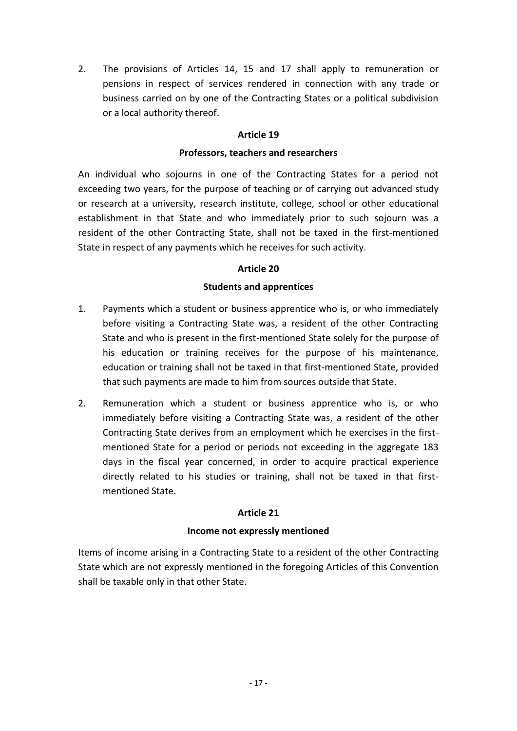2. The provisions of Articles 14, 15 and 17 shall apply to remuneration or pensions in respect of services rendered in connection with any trade or business carried on by one of the Contracting States or a political subdivision or a local authority thereof.

## **Article 19**

#### **Professors, teachers and researchers**

An individual who sojourns in one of the Contracting States for a period not exceeding two years, for the purpose of teaching or of carrying out advanced study or research at a university, research institute, college, school or other educational establishment in that State and who immediately prior to such sojourn was a resident of the other Contracting State, shall not be taxed in the first-mentioned State in respect of any payments which he receives for such activity.

#### **Article 20**

#### **Students and apprentices**

- 1. Payments which a student or business apprentice who is, or who immediately before visiting a Contracting State was, a resident of the other Contracting State and who is present in the first-mentioned State solely for the purpose of his education or training receives for the purpose of his maintenance, education or training shall not be taxed in that first-mentioned State, provided that such payments are made to him from sources outside that State.
- 2. Remuneration which a student or business apprentice who is, or who immediately before visiting a Contracting State was, a resident of the other Contracting State derives from an employment which he exercises in the firstmentioned State for a period or periods not exceeding in the aggregate 183 days in the fiscal year concerned, in order to acquire practical experience directly related to his studies or training, shall not be taxed in that firstmentioned State.

#### **Article 21**

## **Income not expressly mentioned**

Items of income arising in a Contracting State to a resident of the other Contracting State which are not expressly mentioned in the foregoing Articles of this Convention shall be taxable only in that other State.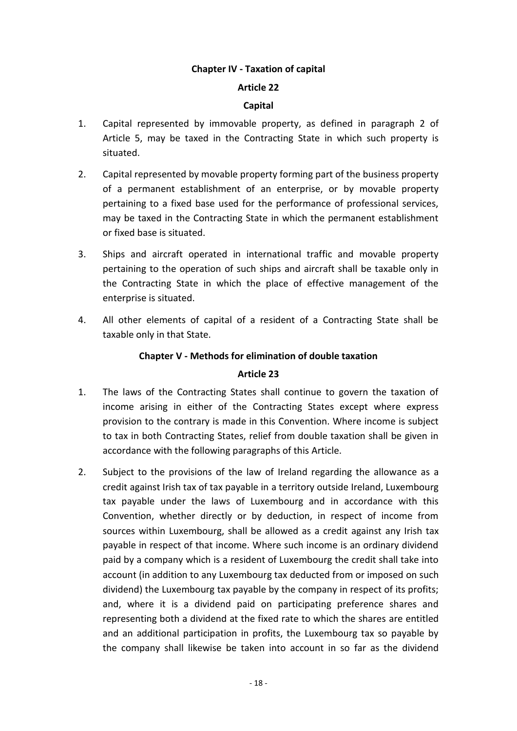## **Chapter IV - Taxation of capital**

#### **Article 22**

#### **Capital**

- 1. Capital represented by immovable property, as defined in paragraph 2 of Article 5, may be taxed in the Contracting State in which such property is situated.
- 2. Capital represented by movable property forming part of the business property of a permanent establishment of an enterprise, or by movable property pertaining to a fixed base used for the performance of professional services, may be taxed in the Contracting State in which the permanent establishment or fixed base is situated.
- 3. Ships and aircraft operated in international traffic and movable property pertaining to the operation of such ships and aircraft shall be taxable only in the Contracting State in which the place of effective management of the enterprise is situated.
- 4. All other elements of capital of a resident of a Contracting State shall be taxable only in that State.

#### **Chapter V - Methods for elimination of double taxation**

#### **Article 23**

- 1. The laws of the Contracting States shall continue to govern the taxation of income arising in either of the Contracting States except where express provision to the contrary is made in this Convention. Where income is subject to tax in both Contracting States, relief from double taxation shall be given in accordance with the following paragraphs of this Article.
- 2. Subject to the provisions of the law of Ireland regarding the allowance as a credit against Irish tax of tax payable in a territory outside Ireland, Luxembourg tax payable under the laws of Luxembourg and in accordance with this Convention, whether directly or by deduction, in respect of income from sources within Luxembourg, shall be allowed as a credit against any Irish tax payable in respect of that income. Where such income is an ordinary dividend paid by a company which is a resident of Luxembourg the credit shall take into account (in addition to any Luxembourg tax deducted from or imposed on such dividend) the Luxembourg tax payable by the company in respect of its profits; and, where it is a dividend paid on participating preference shares and representing both a dividend at the fixed rate to which the shares are entitled and an additional participation in profits, the Luxembourg tax so payable by the company shall likewise be taken into account in so far as the dividend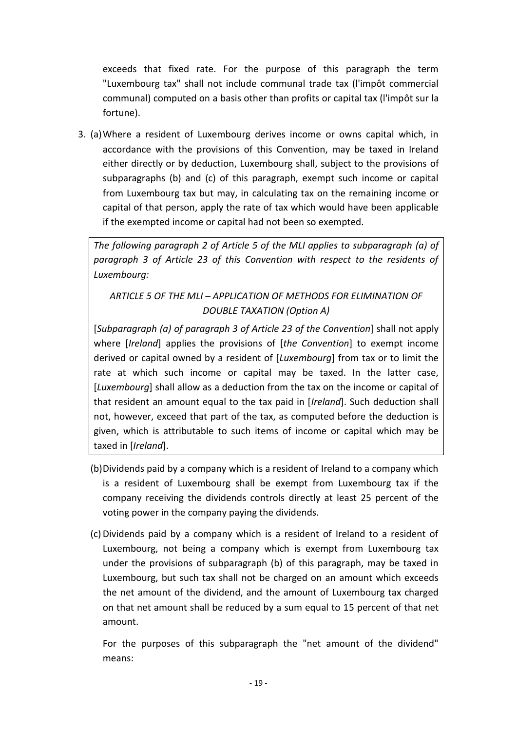exceeds that fixed rate. For the purpose of this paragraph the term "Luxembourg tax" shall not include communal trade tax (l'impôt commercial communal) computed on a basis other than profits or capital tax (l'impôt sur la fortune).

3. (a)Where a resident of Luxembourg derives income or owns capital which, in accordance with the provisions of this Convention, may be taxed in Ireland either directly or by deduction, Luxembourg shall, subject to the provisions of subparagraphs (b) and (c) of this paragraph, exempt such income or capital from Luxembourg tax but may, in calculating tax on the remaining income or capital of that person, apply the rate of tax which would have been applicable if the exempted income or capital had not been so exempted.

*The following paragraph 2 of Article 5 of the MLI applies to subparagraph (a) of paragraph 3 of Article 23 of this Convention with respect to the residents of Luxembourg:*

# *ARTICLE 5 OF THE MLI – APPLICATION OF METHODS FOR ELIMINATION OF DOUBLE TAXATION (Option A)*

[*Subparagraph (a) of paragraph 3 of Article 23 of the Convention*] shall not apply where [*Ireland*] applies the provisions of [*the Convention*] to exempt income derived or capital owned by a resident of [*Luxembourg*] from tax or to limit the rate at which such income or capital may be taxed. In the latter case, [*Luxembourg*] shall allow as a deduction from the tax on the income or capital of that resident an amount equal to the tax paid in [*Ireland*]. Such deduction shall not, however, exceed that part of the tax, as computed before the deduction is given, which is attributable to such items of income or capital which may be taxed in [*Ireland*].

- (b)Dividends paid by a company which is a resident of Ireland to a company which is a resident of Luxembourg shall be exempt from Luxembourg tax if the company receiving the dividends controls directly at least 25 percent of the voting power in the company paying the dividends.
- (c) Dividends paid by a company which is a resident of Ireland to a resident of Luxembourg, not being a company which is exempt from Luxembourg tax under the provisions of subparagraph (b) of this paragraph, may be taxed in Luxembourg, but such tax shall not be charged on an amount which exceeds the net amount of the dividend, and the amount of Luxembourg tax charged on that net amount shall be reduced by a sum equal to 15 percent of that net amount.

For the purposes of this subparagraph the "net amount of the dividend" means: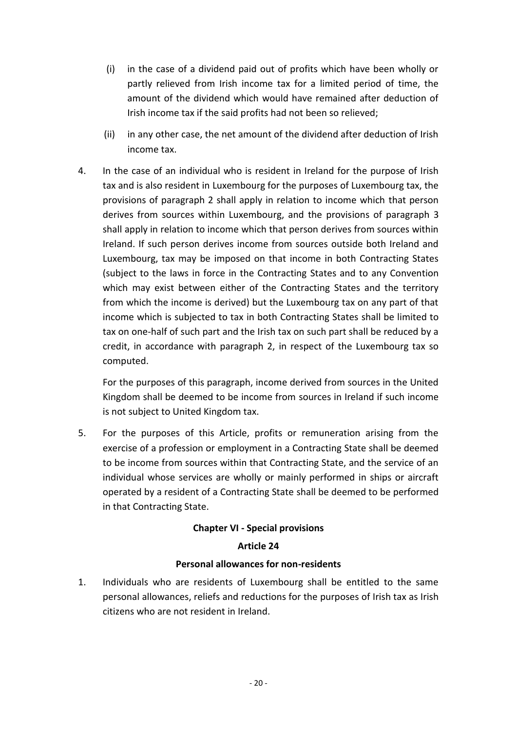- (i) in the case of a dividend paid out of profits which have been wholly or partly relieved from Irish income tax for a limited period of time, the amount of the dividend which would have remained after deduction of Irish income tax if the said profits had not been so relieved;
- (ii) in any other case, the net amount of the dividend after deduction of Irish income tax.
- 4. In the case of an individual who is resident in Ireland for the purpose of Irish tax and is also resident in Luxembourg for the purposes of Luxembourg tax, the provisions of paragraph 2 shall apply in relation to income which that person derives from sources within Luxembourg, and the provisions of paragraph 3 shall apply in relation to income which that person derives from sources within Ireland. If such person derives income from sources outside both Ireland and Luxembourg, tax may be imposed on that income in both Contracting States (subject to the laws in force in the Contracting States and to any Convention which may exist between either of the Contracting States and the territory from which the income is derived) but the Luxembourg tax on any part of that income which is subjected to tax in both Contracting States shall be limited to tax on one-half of such part and the Irish tax on such part shall be reduced by a credit, in accordance with paragraph 2, in respect of the Luxembourg tax so computed.

For the purposes of this paragraph, income derived from sources in the United Kingdom shall be deemed to be income from sources in Ireland if such income is not subject to United Kingdom tax.

5. For the purposes of this Article, profits or remuneration arising from the exercise of a profession or employment in a Contracting State shall be deemed to be income from sources within that Contracting State, and the service of an individual whose services are wholly or mainly performed in ships or aircraft operated by a resident of a Contracting State shall be deemed to be performed in that Contracting State.

## **Chapter VI - Special provisions**

## **Article 24**

## **Personal allowances for non-residents**

1. Individuals who are residents of Luxembourg shall be entitled to the same personal allowances, reliefs and reductions for the purposes of Irish tax as Irish citizens who are not resident in Ireland.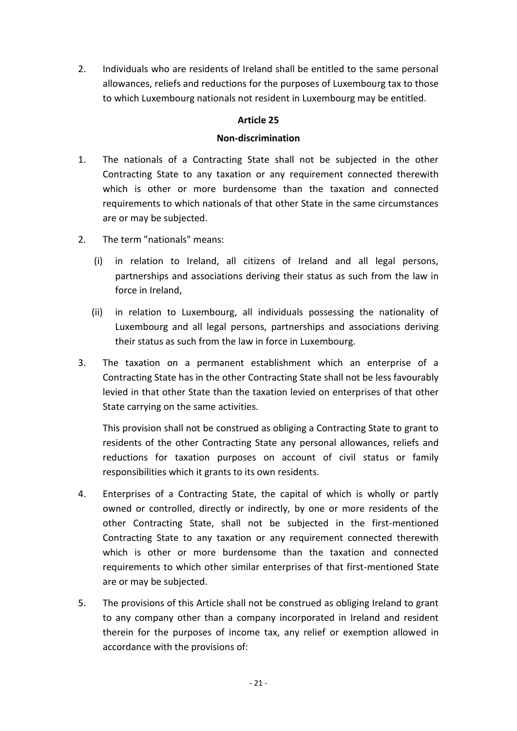2. Individuals who are residents of Ireland shall be entitled to the same personal allowances, reliefs and reductions for the purposes of Luxembourg tax to those to which Luxembourg nationals not resident in Luxembourg may be entitled.

## **Article 25**

#### **Non-discrimination**

- 1. The nationals of a Contracting State shall not be subjected in the other Contracting State to any taxation or any requirement connected therewith which is other or more burdensome than the taxation and connected requirements to which nationals of that other State in the same circumstances are or may be subjected.
- 2. The term "nationals" means:
	- (i) in relation to Ireland, all citizens of Ireland and all legal persons, partnerships and associations deriving their status as such from the law in force in Ireland,
	- (ii) in relation to Luxembourg, all individuals possessing the nationality of Luxembourg and all legal persons, partnerships and associations deriving their status as such from the law in force in Luxembourg.
- 3. The taxation on a permanent establishment which an enterprise of a Contracting State has in the other Contracting State shall not be less favourably levied in that other State than the taxation levied on enterprises of that other State carrying on the same activities.

This provision shall not be construed as obliging a Contracting State to grant to residents of the other Contracting State any personal allowances, reliefs and reductions for taxation purposes on account of civil status or family responsibilities which it grants to its own residents.

- 4. Enterprises of a Contracting State, the capital of which is wholly or partly owned or controlled, directly or indirectly, by one or more residents of the other Contracting State, shall not be subjected in the first-mentioned Contracting State to any taxation or any requirement connected therewith which is other or more burdensome than the taxation and connected requirements to which other similar enterprises of that first-mentioned State are or may be subjected.
- 5. The provisions of this Article shall not be construed as obliging Ireland to grant to any company other than a company incorporated in Ireland and resident therein for the purposes of income tax, any relief or exemption allowed in accordance with the provisions of: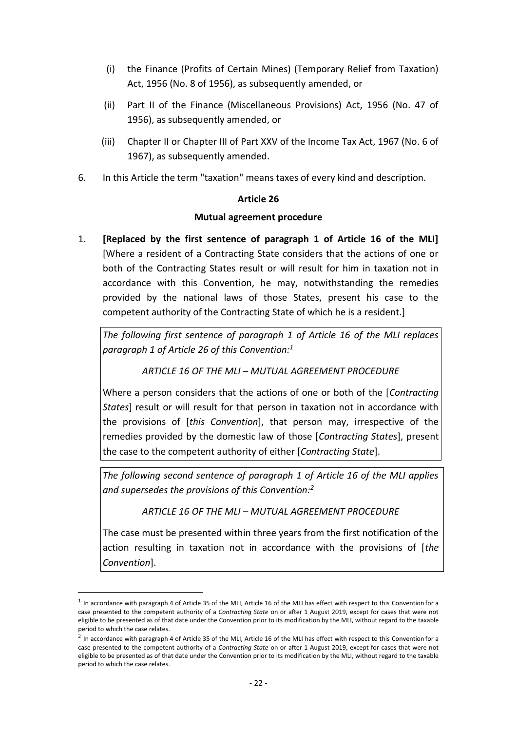- (i) the Finance (Profits of Certain Mines) (Temporary Relief from Taxation) Act, 1956 (No. 8 of 1956), as subsequently amended, or
- (ii) Part II of the Finance (Miscellaneous Provisions) Act, 1956 (No. 47 of 1956), as subsequently amended, or
- (iii) Chapter II or Chapter III of Part XXV of the Income Tax Act, 1967 (No. 6 of 1967), as subsequently amended.
- 6. In this Article the term "taxation" means taxes of every kind and description.

#### **Article 26**

#### **Mutual agreement procedure**

1. **[Replaced by the first sentence of paragraph 1 of Article 16 of the MLI]** [Where a resident of a Contracting State considers that the actions of one or both of the Contracting States result or will result for him in taxation not in accordance with this Convention, he may, notwithstanding the remedies provided by the national laws of those States, present his case to the competent authority of the Contracting State of which he is a resident.]

*The following first sentence of paragraph 1 of Article 16 of the MLI replaces paragraph 1 of Article 26 of this Convention:<sup>1</sup>*

*ARTICLE 16 OF THE MLI – MUTUAL AGREEMENT PROCEDURE*

Where a person considers that the actions of one or both of the [*Contracting States*] result or will result for that person in taxation not in accordance with the provisions of [*this Convention*], that person may, irrespective of the remedies provided by the domestic law of those [*Contracting States*], present the case to the competent authority of either [*Contracting State*].

*The following second sentence of paragraph 1 of Article 16 of the MLI applies and supersedes the provisions of this Convention:<sup>2</sup>*

*ARTICLE 16 OF THE MLI – MUTUAL AGREEMENT PROCEDURE*

The case must be presented within three years from the first notification of the action resulting in taxation not in accordance with the provisions of [*the Convention*].

<u>.</u>

 $^1$  In accordance with paragraph 4 of Article 35 of the MLI, Article 16 of the MLI has effect with respect to this Convention for a case presented to the competent authority of a *Contracting State* on or after 1 August 2019, except for cases that were not eligible to be presented as of that date under the Convention prior to its modification by the MLI, without regard to the taxable

period to which the case relates.<br><sup>2</sup> In accordance with paragraph 4 of Article 35 of the MLI, Article 16 of the MLI has effect with respect to this Convention for a case presented to the competent authority of a *Contracting State* on or after 1 August 2019, except for cases that were not eligible to be presented as of that date under the Convention prior to its modification by the MLI, without regard to the taxable period to which the case relates.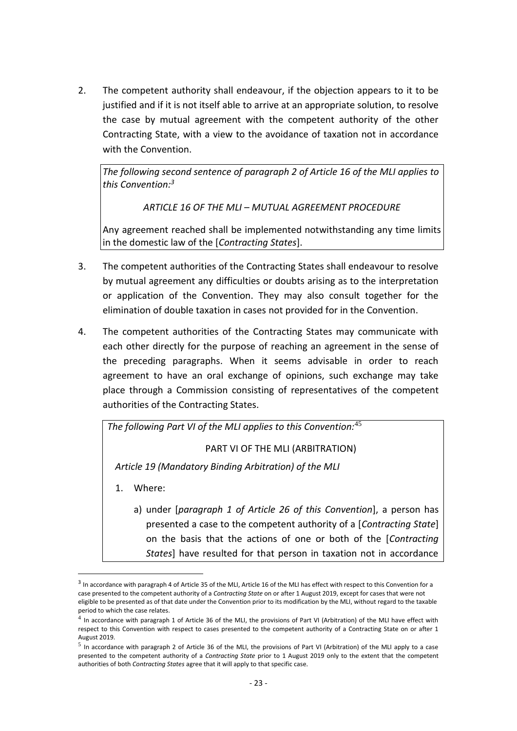2. The competent authority shall endeavour, if the objection appears to it to be justified and if it is not itself able to arrive at an appropriate solution, to resolve the case by mutual agreement with the competent authority of the other Contracting State, with a view to the avoidance of taxation not in accordance with the Convention

*The following second sentence of paragraph 2 of Article 16 of the MLI applies to this Convention:<sup>3</sup>*

*ARTICLE 16 OF THE MLI – MUTUAL AGREEMENT PROCEDURE*

Any agreement reached shall be implemented notwithstanding any time limits in the domestic law of the [*Contracting States*].

- 3. The competent authorities of the Contracting States shall endeavour to resolve by mutual agreement any difficulties or doubts arising as to the interpretation or application of the Convention. They may also consult together for the elimination of double taxation in cases not provided for in the Convention.
- 4. The competent authorities of the Contracting States may communicate with each other directly for the purpose of reaching an agreement in the sense of the preceding paragraphs. When it seems advisable in order to reach agreement to have an oral exchange of opinions, such exchange may take place through a Commission consisting of representatives of the competent authorities of the Contracting States.

*The following Part VI of the MLI applies to this Convention:*<sup>45</sup>

PART VI OF THE MLI (ARBITRATION)

*Article 19 (Mandatory Binding Arbitration) of the MLI*

1. Where:

1

a) under [*paragraph 1 of Article 26 of this Convention*], a person has presented a case to the competent authority of a [*Contracting State*] on the basis that the actions of one or both of the [*Contracting States*] have resulted for that person in taxation not in accordance

<sup>&</sup>lt;sup>3</sup> In accordance with paragraph 4 of Article 35 of the MLI, Article 16 of the MLI has effect with respect to this Convention for a case presented to the competent authority of a *Contracting State* on or after 1 August 2019, except for cases that were not eligible to be presented as of that date under the Convention prior to its modification by the MLI, without regard to the taxable period to which the case relates.

 $^4$  In accordance with paragraph 1 of Article 36 of the MLI, the provisions of Part VI (Arbitration) of the MLI have effect with respect to this Convention with respect to cases presented to the competent authority of a Contracting State on or after 1 August 2019.

 $^5$  In accordance with paragraph 2 of Article 36 of the MLI, the provisions of Part VI (Arbitration) of the MLI apply to a case presented to the competent authority of a *Contracting State* prior to 1 August 2019 only to the extent that the competent authorities of both *Contracting States* agree that it will apply to that specific case.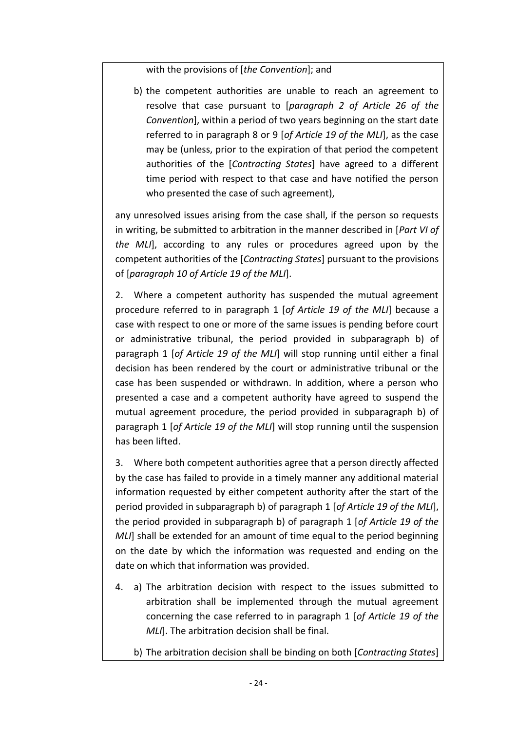with the provisions of [*the Convention*]; and

b) the competent authorities are unable to reach an agreement to resolve that case pursuant to [*paragraph 2 of Article 26 of the Convention*], within a period of two years beginning on the start date referred to in paragraph 8 or 9 [*of Article 19 of the MLI*], as the case may be (unless, prior to the expiration of that period the competent authorities of the [*Contracting States*] have agreed to a different time period with respect to that case and have notified the person who presented the case of such agreement),

any unresolved issues arising from the case shall, if the person so requests in writing, be submitted to arbitration in the manner described in [*Part VI of the MLI*], according to any rules or procedures agreed upon by the competent authorities of the [*Contracting States*] pursuant to the provisions of [*paragraph 10 of Article 19 of the MLI*].

2. Where a competent authority has suspended the mutual agreement procedure referred to in paragraph 1 [*of Article 19 of the MLI*] because a case with respect to one or more of the same issues is pending before court or administrative tribunal, the period provided in subparagraph b) of paragraph 1 [*of Article 19 of the MLI*] will stop running until either a final decision has been rendered by the court or administrative tribunal or the case has been suspended or withdrawn. In addition, where a person who presented a case and a competent authority have agreed to suspend the mutual agreement procedure, the period provided in subparagraph b) of paragraph 1 [*of Article 19 of the MLI*] will stop running until the suspension has been lifted.

3. Where both competent authorities agree that a person directly affected by the case has failed to provide in a timely manner any additional material information requested by either competent authority after the start of the period provided in subparagraph b) of paragraph 1 [*of Article 19 of the MLI*], the period provided in subparagraph b) of paragraph 1 [*of Article 19 of the MLI*] shall be extended for an amount of time equal to the period beginning on the date by which the information was requested and ending on the date on which that information was provided.

4. a) The arbitration decision with respect to the issues submitted to arbitration shall be implemented through the mutual agreement concerning the case referred to in paragraph 1 [*of Article 19 of the MLI*]. The arbitration decision shall be final.

b) The arbitration decision shall be binding on both [*Contracting States*]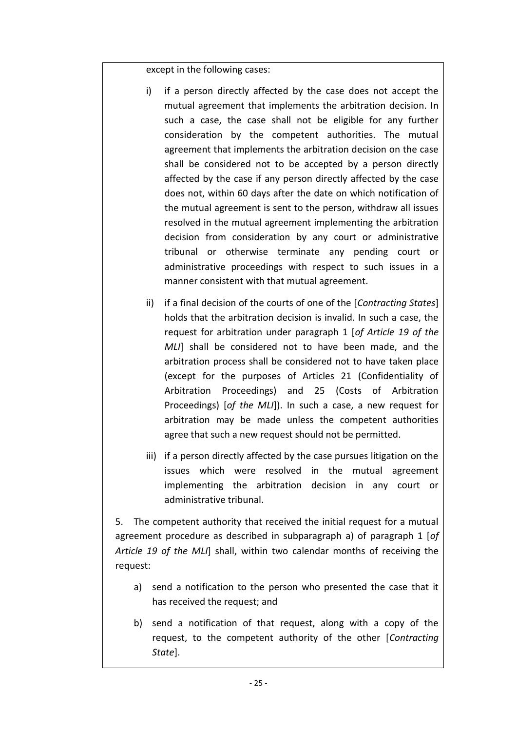except in the following cases:

- i) if a person directly affected by the case does not accept the mutual agreement that implements the arbitration decision. In such a case, the case shall not be eligible for any further consideration by the competent authorities. The mutual agreement that implements the arbitration decision on the case shall be considered not to be accepted by a person directly affected by the case if any person directly affected by the case does not, within 60 days after the date on which notification of the mutual agreement is sent to the person, withdraw all issues resolved in the mutual agreement implementing the arbitration decision from consideration by any court or administrative tribunal or otherwise terminate any pending court or administrative proceedings with respect to such issues in a manner consistent with that mutual agreement.
- ii) if a final decision of the courts of one of the [*Contracting States*] holds that the arbitration decision is invalid. In such a case, the request for arbitration under paragraph 1 [*of Article 19 of the MLI*] shall be considered not to have been made, and the arbitration process shall be considered not to have taken place (except for the purposes of Articles 21 (Confidentiality of Arbitration Proceedings) and 25 (Costs of Arbitration Proceedings) [*of the MLI*]). In such a case, a new request for arbitration may be made unless the competent authorities agree that such a new request should not be permitted.
- iii) if a person directly affected by the case pursues litigation on the issues which were resolved in the mutual agreement implementing the arbitration decision in any court or administrative tribunal.

5. The competent authority that received the initial request for a mutual agreement procedure as described in subparagraph a) of paragraph 1 [*of Article 19 of the MLI*] shall, within two calendar months of receiving the request:

- a) send a notification to the person who presented the case that it has received the request; and
- b) send a notification of that request, along with a copy of the request, to the competent authority of the other [*Contracting State*].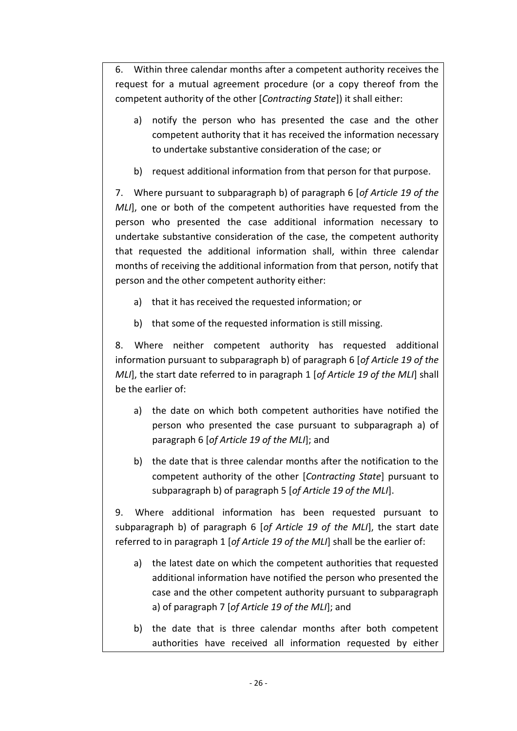6. Within three calendar months after a competent authority receives the request for a mutual agreement procedure (or a copy thereof from the competent authority of the other [*Contracting State*]) it shall either:

- a) notify the person who has presented the case and the other competent authority that it has received the information necessary to undertake substantive consideration of the case; or
- b) request additional information from that person for that purpose.

7. Where pursuant to subparagraph b) of paragraph 6 [*of Article 19 of the MLI*], one or both of the competent authorities have requested from the person who presented the case additional information necessary to undertake substantive consideration of the case, the competent authority that requested the additional information shall, within three calendar months of receiving the additional information from that person, notify that person and the other competent authority either:

- a) that it has received the requested information; or
- b) that some of the requested information is still missing.

8. Where neither competent authority has requested additional information pursuant to subparagraph b) of paragraph 6 [*of Article 19 of the MLI*], the start date referred to in paragraph 1 [*of Article 19 of the MLI*] shall be the earlier of:

- a) the date on which both competent authorities have notified the person who presented the case pursuant to subparagraph a) of paragraph 6 [*of Article 19 of the MLI*]; and
- b) the date that is three calendar months after the notification to the competent authority of the other [*Contracting State*] pursuant to subparagraph b) of paragraph 5 [*of Article 19 of the MLI*].

9. Where additional information has been requested pursuant to subparagraph b) of paragraph 6 [*of Article 19 of the MLI*], the start date referred to in paragraph 1 [*of Article 19 of the MLI*] shall be the earlier of:

- a) the latest date on which the competent authorities that requested additional information have notified the person who presented the case and the other competent authority pursuant to subparagraph a) of paragraph 7 [*of Article 19 of the MLI*]; and
- b) the date that is three calendar months after both competent authorities have received all information requested by either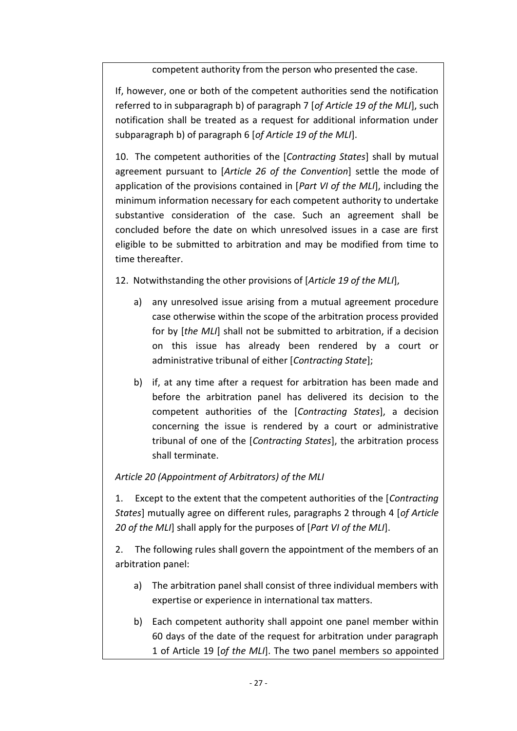competent authority from the person who presented the case.

If, however, one or both of the competent authorities send the notification referred to in subparagraph b) of paragraph 7 [*of Article 19 of the MLI*], such notification shall be treated as a request for additional information under subparagraph b) of paragraph 6 [*of Article 19 of the MLI*].

10. The competent authorities of the [*Contracting States*] shall by mutual agreement pursuant to [*Article 26 of the Convention*] settle the mode of application of the provisions contained in [*Part VI of the MLI*], including the minimum information necessary for each competent authority to undertake substantive consideration of the case. Such an agreement shall be concluded before the date on which unresolved issues in a case are first eligible to be submitted to arbitration and may be modified from time to time thereafter.

12. Notwithstanding the other provisions of [*Article 19 of the MLI*],

- a) any unresolved issue arising from a mutual agreement procedure case otherwise within the scope of the arbitration process provided for by [*the MLI*] shall not be submitted to arbitration, if a decision on this issue has already been rendered by a court or administrative tribunal of either [*Contracting State*];
- b) if, at any time after a request for arbitration has been made and before the arbitration panel has delivered its decision to the competent authorities of the [*Contracting States*], a decision concerning the issue is rendered by a court or administrative tribunal of one of the [*Contracting States*], the arbitration process shall terminate.

# *Article 20 (Appointment of Arbitrators) of the MLI*

1. Except to the extent that the competent authorities of the [*Contracting States*] mutually agree on different rules, paragraphs 2 through 4 [*of Article 20 of the MLI*] shall apply for the purposes of [*Part VI of the MLI*].

2. The following rules shall govern the appointment of the members of an arbitration panel:

- a) The arbitration panel shall consist of three individual members with expertise or experience in international tax matters.
- b) Each competent authority shall appoint one panel member within 60 days of the date of the request for arbitration under paragraph 1 of Article 19 [*of the MLI*]. The two panel members so appointed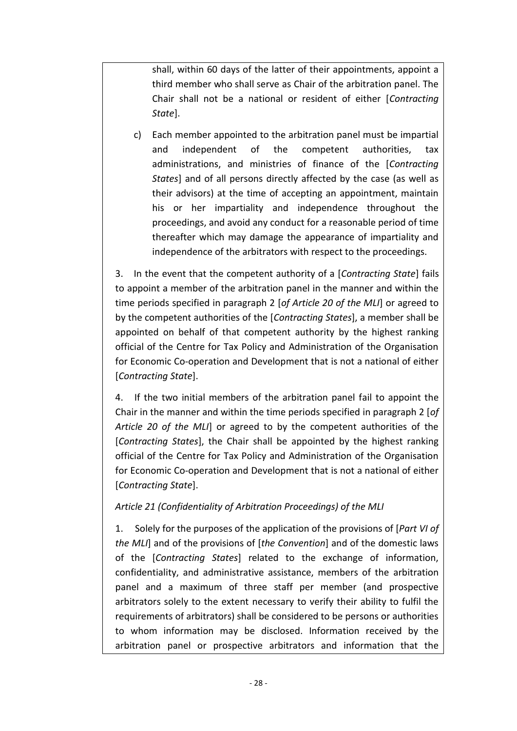shall, within 60 days of the latter of their appointments, appoint a third member who shall serve as Chair of the arbitration panel. The Chair shall not be a national or resident of either [*Contracting State*].

c) Each member appointed to the arbitration panel must be impartial and independent of the competent authorities, tax administrations, and ministries of finance of the [*Contracting States*] and of all persons directly affected by the case (as well as their advisors) at the time of accepting an appointment, maintain his or her impartiality and independence throughout the proceedings, and avoid any conduct for a reasonable period of time thereafter which may damage the appearance of impartiality and independence of the arbitrators with respect to the proceedings.

3. In the event that the competent authority of a [*Contracting State*] fails to appoint a member of the arbitration panel in the manner and within the time periods specified in paragraph 2 [*of Article 20 of the MLI*] or agreed to by the competent authorities of the [*Contracting States*], a member shall be appointed on behalf of that competent authority by the highest ranking official of the Centre for Tax Policy and Administration of the Organisation for Economic Co-operation and Development that is not a national of either [*Contracting State*].

4. If the two initial members of the arbitration panel fail to appoint the Chair in the manner and within the time periods specified in paragraph 2 [*of Article 20 of the MLI*] or agreed to by the competent authorities of the [*Contracting States*], the Chair shall be appointed by the highest ranking official of the Centre for Tax Policy and Administration of the Organisation for Economic Co-operation and Development that is not a national of either [*Contracting State*].

## *Article 21 (Confidentiality of Arbitration Proceedings) of the MLI*

1. Solely for the purposes of the application of the provisions of [*Part VI of the MLI*] and of the provisions of [*the Convention*] and of the domestic laws of the [*Contracting States*] related to the exchange of information, confidentiality, and administrative assistance, members of the arbitration panel and a maximum of three staff per member (and prospective arbitrators solely to the extent necessary to verify their ability to fulfil the requirements of arbitrators) shall be considered to be persons or authorities to whom information may be disclosed. Information received by the arbitration panel or prospective arbitrators and information that the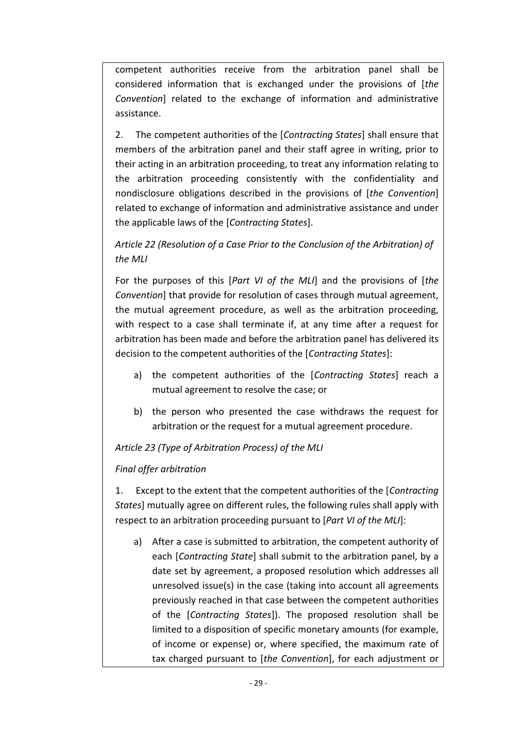competent authorities receive from the arbitration panel shall be considered information that is exchanged under the provisions of [*the Convention*] related to the exchange of information and administrative assistance.

2. The competent authorities of the [*Contracting States*] shall ensure that members of the arbitration panel and their staff agree in writing, prior to their acting in an arbitration proceeding, to treat any information relating to the arbitration proceeding consistently with the confidentiality and nondisclosure obligations described in the provisions of [*the Convention*] related to exchange of information and administrative assistance and under the applicable laws of the [*Contracting States*].

# *Article 22 (Resolution of a Case Prior to the Conclusion of the Arbitration) of the MLI*

For the purposes of this [*Part VI of the MLI*] and the provisions of [*the Convention*] that provide for resolution of cases through mutual agreement, the mutual agreement procedure, as well as the arbitration proceeding, with respect to a case shall terminate if, at any time after a request for arbitration has been made and before the arbitration panel has delivered its decision to the competent authorities of the [*Contracting States*]:

- a) the competent authorities of the [*Contracting States*] reach a mutual agreement to resolve the case; or
- b) the person who presented the case withdraws the request for arbitration or the request for a mutual agreement procedure.

# *Article 23 (Type of Arbitration Process) of the MLI*

# *Final offer arbitration*

1. Except to the extent that the competent authorities of the [*Contracting States*] mutually agree on different rules, the following rules shall apply with respect to an arbitration proceeding pursuant to [*Part VI of the MLI*]:

a) After a case is submitted to arbitration, the competent authority of each [*Contracting State*] shall submit to the arbitration panel, by a date set by agreement, a proposed resolution which addresses all unresolved issue(s) in the case (taking into account all agreements previously reached in that case between the competent authorities of the [*Contracting States*]). The proposed resolution shall be limited to a disposition of specific monetary amounts (for example, of income or expense) or, where specified, the maximum rate of tax charged pursuant to [*the Convention*], for each adjustment or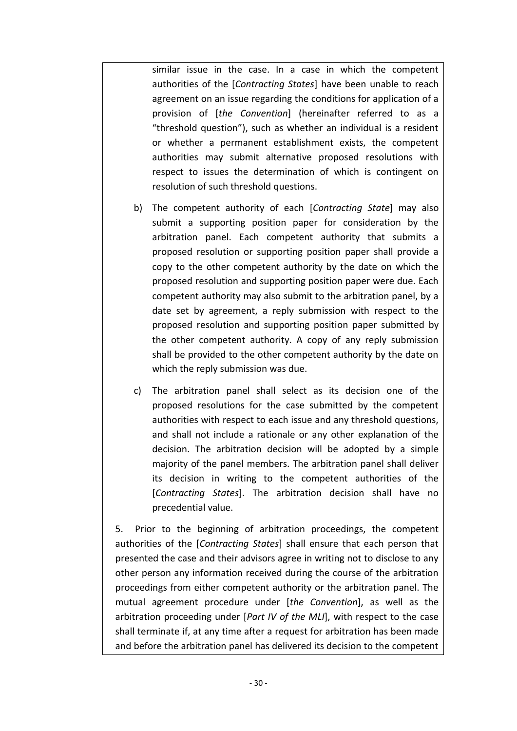similar issue in the case. In a case in which the competent authorities of the [*Contracting States*] have been unable to reach agreement on an issue regarding the conditions for application of a provision of [*the Convention*] (hereinafter referred to as a "threshold question"), such as whether an individual is a resident or whether a permanent establishment exists, the competent authorities may submit alternative proposed resolutions with respect to issues the determination of which is contingent on resolution of such threshold questions.

- b) The competent authority of each [*Contracting State*] may also submit a supporting position paper for consideration by the arbitration panel. Each competent authority that submits a proposed resolution or supporting position paper shall provide a copy to the other competent authority by the date on which the proposed resolution and supporting position paper were due. Each competent authority may also submit to the arbitration panel, by a date set by agreement, a reply submission with respect to the proposed resolution and supporting position paper submitted by the other competent authority. A copy of any reply submission shall be provided to the other competent authority by the date on which the reply submission was due.
- c) The arbitration panel shall select as its decision one of the proposed resolutions for the case submitted by the competent authorities with respect to each issue and any threshold questions, and shall not include a rationale or any other explanation of the decision. The arbitration decision will be adopted by a simple majority of the panel members. The arbitration panel shall deliver its decision in writing to the competent authorities of the [*Contracting States*]. The arbitration decision shall have no precedential value.

5. Prior to the beginning of arbitration proceedings, the competent authorities of the [*Contracting States*] shall ensure that each person that presented the case and their advisors agree in writing not to disclose to any other person any information received during the course of the arbitration proceedings from either competent authority or the arbitration panel. The mutual agreement procedure under [*the Convention*], as well as the arbitration proceeding under [*Part IV of the MLI*], with respect to the case shall terminate if, at any time after a request for arbitration has been made and before the arbitration panel has delivered its decision to the competent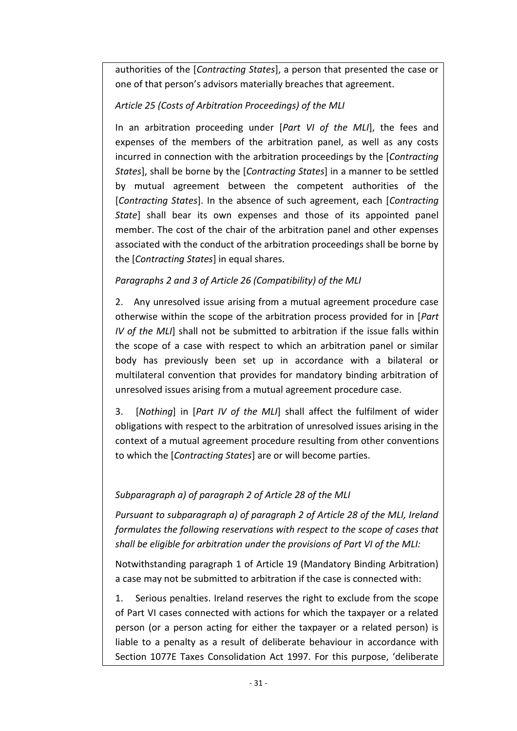authorities of the [*Contracting States*], a person that presented the case or one of that person's advisors materially breaches that agreement.

# *Article 25 (Costs of Arbitration Proceedings) of the MLI*

In an arbitration proceeding under [*Part VI of the MLI*], the fees and expenses of the members of the arbitration panel, as well as any costs incurred in connection with the arbitration proceedings by the [*Contracting States*], shall be borne by the [*Contracting States*] in a manner to be settled by mutual agreement between the competent authorities of the [*Contracting States*]. In the absence of such agreement, each [*Contracting State*] shall bear its own expenses and those of its appointed panel member. The cost of the chair of the arbitration panel and other expenses associated with the conduct of the arbitration proceedings shall be borne by the [*Contracting States*] in equal shares.

# *Paragraphs 2 and 3 of Article 26 (Compatibility) of the MLI*

2. Any unresolved issue arising from a mutual agreement procedure case otherwise within the scope of the arbitration process provided for in [*Part IV of the MLI*] shall not be submitted to arbitration if the issue falls within the scope of a case with respect to which an arbitration panel or similar body has previously been set up in accordance with a bilateral or multilateral convention that provides for mandatory binding arbitration of unresolved issues arising from a mutual agreement procedure case.

3. [*Nothing*] in [*Part IV of the MLI*] shall affect the fulfilment of wider obligations with respect to the arbitration of unresolved issues arising in the context of a mutual agreement procedure resulting from other conventions to which the [*Contracting States*] are or will become parties.

# *Subparagraph a) of paragraph 2 of Article 28 of the MLI*

*Pursuant to subparagraph a) of paragraph 2 of Article 28 of the MLI, Ireland formulates the following reservations with respect to the scope of cases that shall be eligible for arbitration under the provisions of Part VI of the MLI:*

Notwithstanding paragraph 1 of Article 19 (Mandatory Binding Arbitration) a case may not be submitted to arbitration if the case is connected with:

1. Serious penalties. Ireland reserves the right to exclude from the scope of Part VI cases connected with actions for which the taxpayer or a related person (or a person acting for either the taxpayer or a related person) is liable to a penalty as a result of deliberate behaviour in accordance with Section 1077E Taxes Consolidation Act 1997. For this purpose, 'deliberate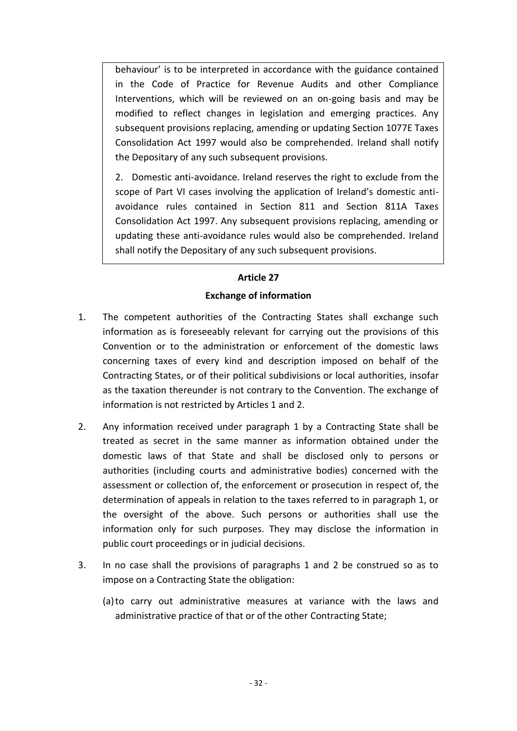behaviour' is to be interpreted in accordance with the guidance contained in the Code of Practice for Revenue Audits and other Compliance Interventions, which will be reviewed on an on-going basis and may be modified to reflect changes in legislation and emerging practices. Any subsequent provisions replacing, amending or updating Section 1077E Taxes Consolidation Act 1997 would also be comprehended. Ireland shall notify the Depositary of any such subsequent provisions.

2. Domestic anti-avoidance. Ireland reserves the right to exclude from the scope of Part VI cases involving the application of Ireland's domestic antiavoidance rules contained in Section 811 and Section 811A Taxes Consolidation Act 1997. Any subsequent provisions replacing, amending or updating these anti-avoidance rules would also be comprehended. Ireland shall notify the Depositary of any such subsequent provisions.

## **Article 27**

## **Exchange of information**

- 1. The competent authorities of the Contracting States shall exchange such information as is foreseeably relevant for carrying out the provisions of this Convention or to the administration or enforcement of the domestic laws concerning taxes of every kind and description imposed on behalf of the Contracting States, or of their political subdivisions or local authorities, insofar as the taxation thereunder is not contrary to the Convention. The exchange of information is not restricted by Articles 1 and 2.
- 2. Any information received under paragraph 1 by a Contracting State shall be treated as secret in the same manner as information obtained under the domestic laws of that State and shall be disclosed only to persons or authorities (including courts and administrative bodies) concerned with the assessment or collection of, the enforcement or prosecution in respect of, the determination of appeals in relation to the taxes referred to in paragraph 1, or the oversight of the above. Such persons or authorities shall use the information only for such purposes. They may disclose the information in public court proceedings or in judicial decisions.
- 3. In no case shall the provisions of paragraphs 1 and 2 be construed so as to impose on a Contracting State the obligation:
	- (a)to carry out administrative measures at variance with the laws and administrative practice of that or of the other Contracting State;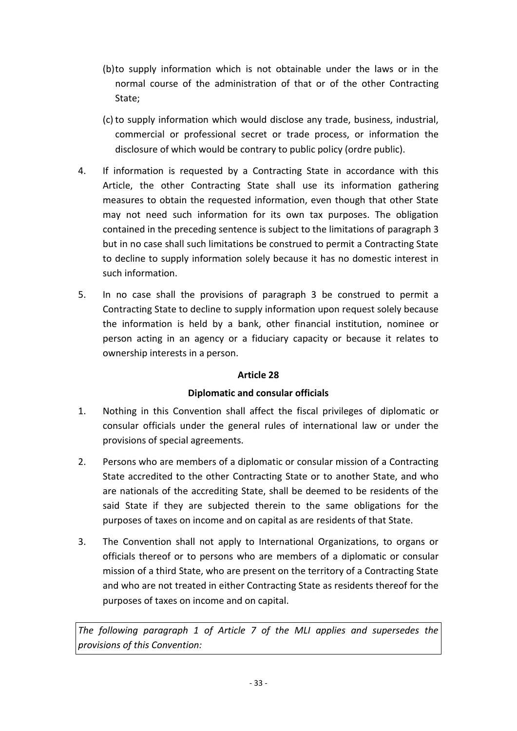- (b)to supply information which is not obtainable under the laws or in the normal course of the administration of that or of the other Contracting State;
- (c)to supply information which would disclose any trade, business, industrial, commercial or professional secret or trade process, or information the disclosure of which would be contrary to public policy (ordre public).
- 4. If information is requested by a Contracting State in accordance with this Article, the other Contracting State shall use its information gathering measures to obtain the requested information, even though that other State may not need such information for its own tax purposes. The obligation contained in the preceding sentence is subject to the limitations of paragraph 3 but in no case shall such limitations be construed to permit a Contracting State to decline to supply information solely because it has no domestic interest in such information.
- 5. In no case shall the provisions of paragraph 3 be construed to permit a Contracting State to decline to supply information upon request solely because the information is held by a bank, other financial institution, nominee or person acting in an agency or a fiduciary capacity or because it relates to ownership interests in a person.

## **Article 28**

## **Diplomatic and consular officials**

- 1. Nothing in this Convention shall affect the fiscal privileges of diplomatic or consular officials under the general rules of international law or under the provisions of special agreements.
- 2. Persons who are members of a diplomatic or consular mission of a Contracting State accredited to the other Contracting State or to another State, and who are nationals of the accrediting State, shall be deemed to be residents of the said State if they are subjected therein to the same obligations for the purposes of taxes on income and on capital as are residents of that State.
- 3. The Convention shall not apply to International Organizations, to organs or officials thereof or to persons who are members of a diplomatic or consular mission of a third State, who are present on the territory of a Contracting State and who are not treated in either Contracting State as residents thereof for the purposes of taxes on income and on capital.

*The following paragraph 1 of Article 7 of the MLI applies and supersedes the provisions of this Convention:*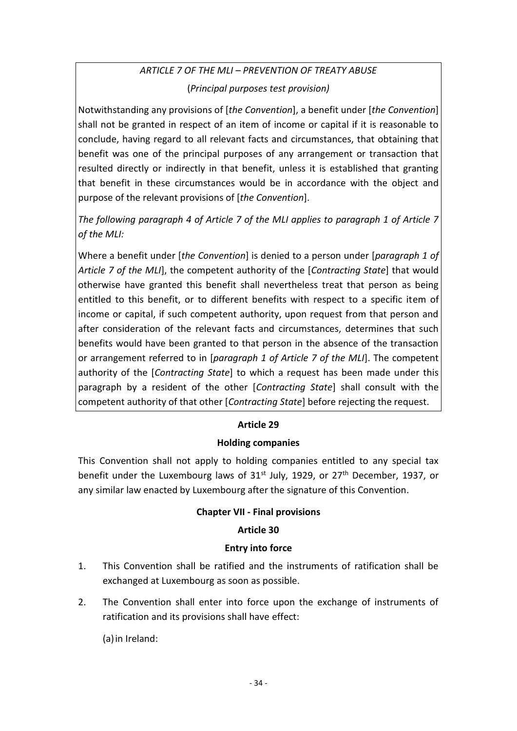# *ARTICLE 7 OF THE MLI – PREVENTION OF TREATY ABUSE* (*Principal purposes test provision)*

Notwithstanding any provisions of [*the Convention*], a benefit under [*the Convention*] shall not be granted in respect of an item of income or capital if it is reasonable to conclude, having regard to all relevant facts and circumstances, that obtaining that benefit was one of the principal purposes of any arrangement or transaction that resulted directly or indirectly in that benefit, unless it is established that granting that benefit in these circumstances would be in accordance with the object and purpose of the relevant provisions of [*the Convention*].

*The following paragraph 4 of Article 7 of the MLI applies to paragraph 1 of Article 7 of the MLI:*

Where a benefit under [*the Convention*] is denied to a person under [*paragraph 1 of Article 7 of the MLI*], the competent authority of the [*Contracting State*] that would otherwise have granted this benefit shall nevertheless treat that person as being entitled to this benefit, or to different benefits with respect to a specific item of income or capital, if such competent authority, upon request from that person and after consideration of the relevant facts and circumstances, determines that such benefits would have been granted to that person in the absence of the transaction or arrangement referred to in [*paragraph 1 of Article 7 of the MLI*]. The competent authority of the [*Contracting State*] to which a request has been made under this paragraph by a resident of the other [*Contracting State*] shall consult with the competent authority of that other [*Contracting State*] before rejecting the request.

# **Article 29**

## **Holding companies**

This Convention shall not apply to holding companies entitled to any special tax benefit under the Luxembourg laws of 31<sup>st</sup> July, 1929, or 27<sup>th</sup> December, 1937, or any similar law enacted by Luxembourg after the signature of this Convention.

## **Chapter VII - Final provisions**

## **Article 30**

## **Entry into force**

- 1. This Convention shall be ratified and the instruments of ratification shall be exchanged at Luxembourg as soon as possible.
- 2. The Convention shall enter into force upon the exchange of instruments of ratification and its provisions shall have effect:

(a)in Ireland: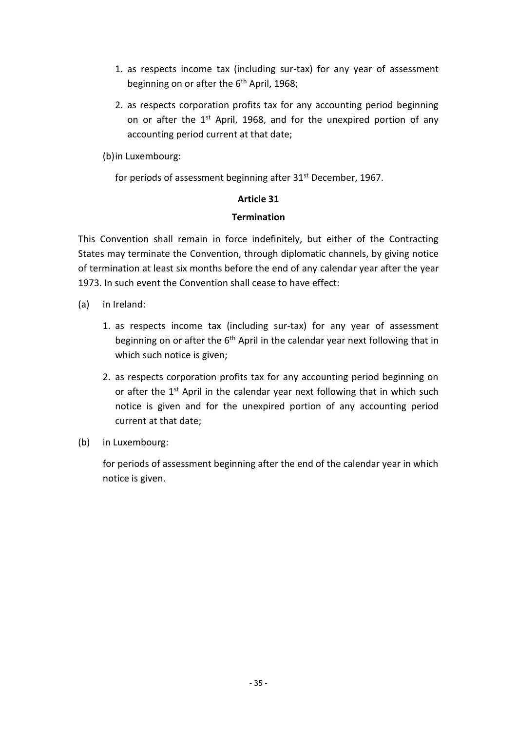- 1. as respects income tax (including sur-tax) for any year of assessment beginning on or after the 6<sup>th</sup> April, 1968;
- 2. as respects corporation profits tax for any accounting period beginning on or after the  $1<sup>st</sup>$  April, 1968, and for the unexpired portion of any accounting period current at that date;

(b)in Luxembourg:

for periods of assessment beginning after 31<sup>st</sup> December, 1967.

## **Article 31**

## **Termination**

This Convention shall remain in force indefinitely, but either of the Contracting States may terminate the Convention, through diplomatic channels, by giving notice of termination at least six months before the end of any calendar year after the year 1973. In such event the Convention shall cease to have effect:

- (a) in Ireland:
	- 1. as respects income tax (including sur-tax) for any year of assessment beginning on or after the  $6<sup>th</sup>$  April in the calendar year next following that in which such notice is given;
	- 2. as respects corporation profits tax for any accounting period beginning on or after the 1<sup>st</sup> April in the calendar year next following that in which such notice is given and for the unexpired portion of any accounting period current at that date;
- (b) in Luxembourg:

for periods of assessment beginning after the end of the calendar year in which notice is given.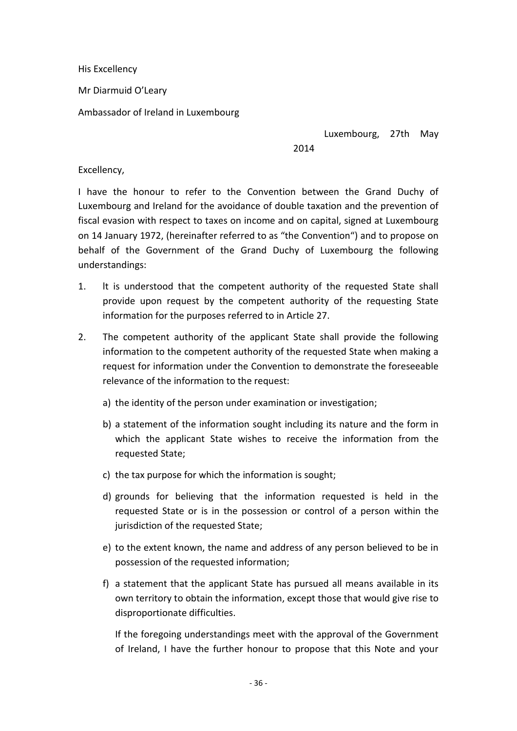His Excellency

Mr Diarmuid O'Leary

Ambassador of Ireland in Luxembourg

Luxembourg, 27th May

2014

#### Excellency,

I have the honour to refer to the Convention between the Grand Duchy of Luxembourg and Ireland for the avoidance of double taxation and the prevention of fiscal evasion with respect to taxes on income and on capital, signed at Luxembourg on 14 January 1972, (hereinafter referred to as "the Convention") and to propose on behalf of the Government of the Grand Duchy of Luxembourg the following understandings:

- 1. lt is understood that the competent authority of the requested State shall provide upon request by the competent authority of the requesting State information for the purposes referred to in Article 27.
- 2. The competent authority of the applicant State shall provide the following information to the competent authority of the requested State when making a request for information under the Convention to demonstrate the foreseeable relevance of the information to the request:
	- a) the identity of the person under examination or investigation;
	- b) a statement of the information sought including its nature and the form in which the applicant State wishes to receive the information from the requested State;
	- c) the tax purpose for which the information is sought;
	- d) grounds for believing that the information requested is held in the requested State or is in the possession or control of a person within the jurisdiction of the requested State;
	- e) to the extent known, the name and address of any person believed to be in possession of the requested information;
	- f) a statement that the applicant State has pursued all means available in its own territory to obtain the information, except those that would give rise to disproportionate difficulties.

If the foregoing understandings meet with the approval of the Government of Ireland, I have the further honour to propose that this Note and your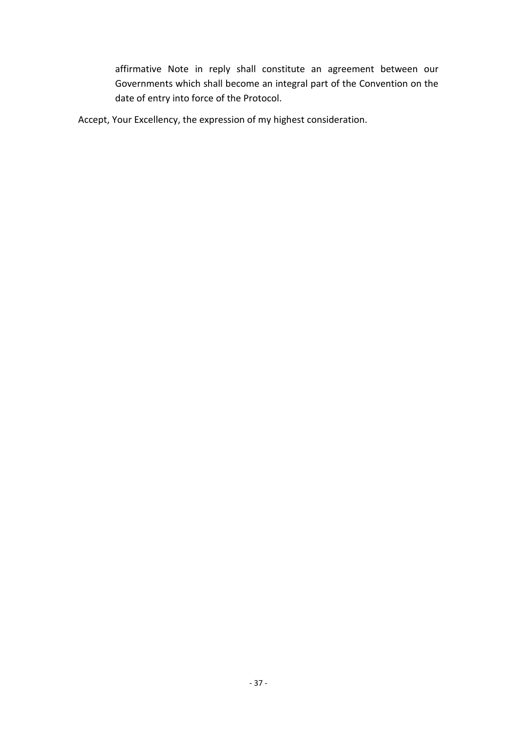affirmative Note in reply shall constitute an agreement between our Governments which shall become an integral part of the Convention on the date of entry into force of the Protocol.

Accept, Your Excellency, the expression of my highest consideration.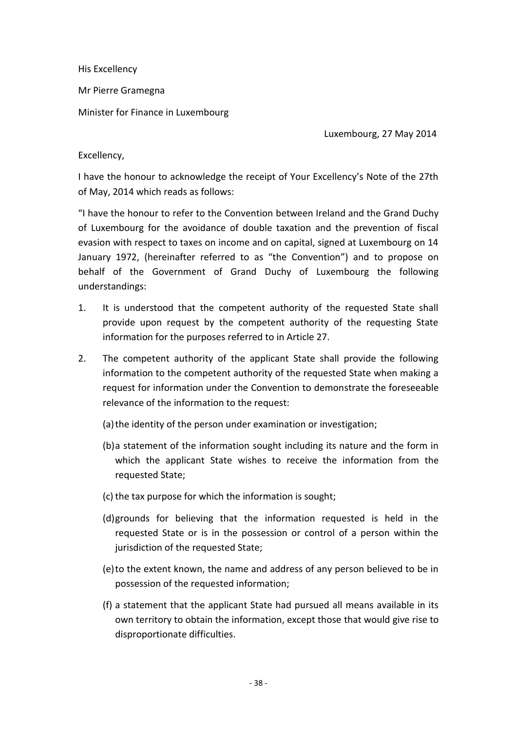His Excellency

Mr Pierre Gramegna

Minister for Finance in Luxembourg

Luxembourg, 27 May 2014

Excellency,

I have the honour to acknowledge the receipt of Your Excellency's Note of the 27th of May, 2014 which reads as follows:

"I have the honour to refer to the Convention between Ireland and the Grand Duchy of Luxembourg for the avoidance of double taxation and the prevention of fiscal evasion with respect to taxes on income and on capital, signed at Luxembourg on 14 January 1972, (hereinafter referred to as "the Convention") and to propose on behalf of the Government of Grand Duchy of Luxembourg the following understandings:

- 1. It is understood that the competent authority of the requested State shall provide upon request by the competent authority of the requesting State information for the purposes referred to in Article 27.
- 2. The competent authority of the applicant State shall provide the following information to the competent authority of the requested State when making a request for information under the Convention to demonstrate the foreseeable relevance of the information to the request:

(a)the identity of the person under examination or investigation;

- (b)a statement of the information sought including its nature and the form in which the applicant State wishes to receive the information from the requested State;
- (c) the tax purpose for which the information is sought;
- (d)grounds for believing that the information requested is held in the requested State or is in the possession or control of a person within the jurisdiction of the requested State;
- (e)to the extent known, the name and address of any person believed to be in possession of the requested information;
- (f) a statement that the applicant State had pursued all means available in its own territory to obtain the information, except those that would give rise to disproportionate difficulties.